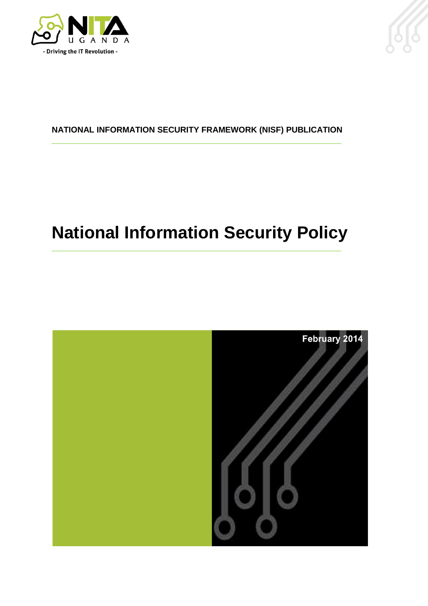



#### **NATIONAL INFORMATION SECURITY FRAMEWORK (NISF) PUBLICATION** \_\_\_\_\_\_\_\_\_\_\_\_\_\_\_\_\_\_\_\_\_\_\_\_\_\_\_\_\_\_\_\_\_\_\_\_\_\_\_\_\_\_\_\_\_\_\_\_\_\_\_\_\_\_\_\_\_\_\_\_\_\_\_

# **National Information Security Policy**

\_\_\_\_\_\_\_\_\_\_\_\_\_\_\_\_\_\_\_\_\_\_\_\_\_\_\_\_\_\_\_\_\_\_\_\_\_\_\_\_\_\_\_\_\_\_\_\_\_\_\_\_\_\_\_\_\_\_\_\_\_\_\_

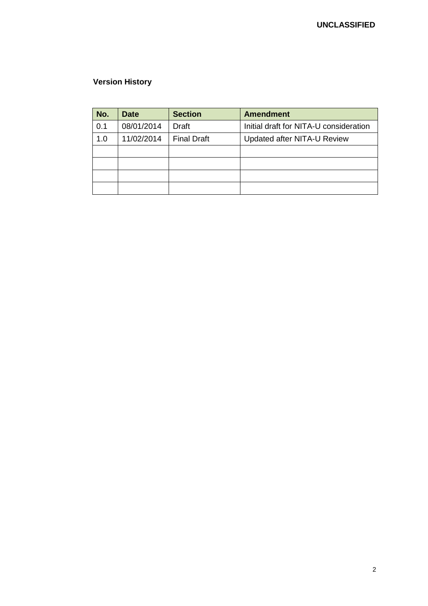#### **Version History**

| No. | <b>Date</b> | <b>Section</b>     | <b>Amendment</b>                                                      |  |
|-----|-------------|--------------------|-----------------------------------------------------------------------|--|
| 0.1 | 08/01/2014  | <b>Draft</b>       | Initial draft for NITA-U consideration<br>Updated after NITA-U Review |  |
| 1.0 | 11/02/2014  | <b>Final Draft</b> |                                                                       |  |
|     |             |                    |                                                                       |  |
|     |             |                    |                                                                       |  |
|     |             |                    |                                                                       |  |
|     |             |                    |                                                                       |  |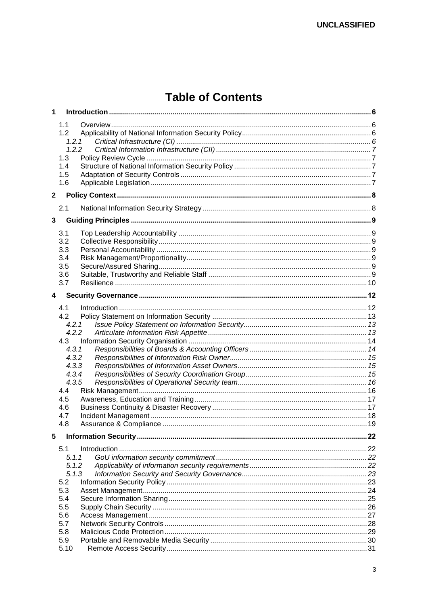## **Table of Contents**

| $\mathbf{1}$ |             |     |
|--------------|-------------|-----|
|              | 1.1         |     |
|              | 1.2         |     |
|              | 1.2.1       |     |
|              | 1.2.2       |     |
|              | 1.3         |     |
|              | 1.4         |     |
|              | 1.5         |     |
|              | 1.6         |     |
| $\mathbf{2}$ |             |     |
|              | 2.1         |     |
| 3            |             |     |
|              | 3.1         |     |
|              | 3.2         |     |
|              | 3.3         |     |
|              | 3.4         |     |
|              | 3.5         |     |
|              | 3.6         |     |
|              | 3.7         |     |
| 4            |             |     |
|              |             |     |
|              | 4.1<br>4.2  |     |
|              | 4.2.1       |     |
|              | 4.2.2       |     |
|              | 4.3         |     |
|              | 4.3.1       |     |
|              | 4.3.2       |     |
|              | 4.3.3       |     |
|              | 4.3.4       |     |
|              | 4.3.5       |     |
|              | 4.4         |     |
|              | 4.5         |     |
|              | 4.6         |     |
|              | 4.7         |     |
|              | 4.8         |     |
| 5            |             | .22 |
|              | 5.1         |     |
|              | 5.1.1       |     |
|              | 5.1.2       |     |
|              | 5.1.3       |     |
|              | 5.2         |     |
|              | 5.3         |     |
|              | 5.4         |     |
|              | 5.5         |     |
|              | 5.6         |     |
|              | 5.7         |     |
|              | 5.8         |     |
|              | 5.9<br>5.10 |     |
|              |             |     |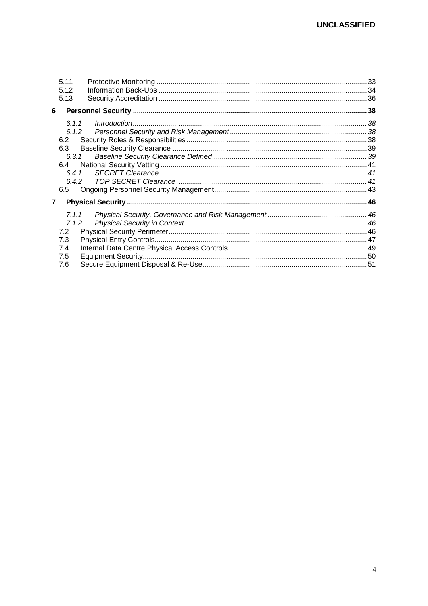| 5.11<br>5.12   |                    |  |
|----------------|--------------------|--|
| 5.13<br>6      |                    |  |
| 6.1.1          | Introduction 1.133 |  |
| 6.1.2          |                    |  |
| 6.2            |                    |  |
| 6.3            |                    |  |
| 6.3.1          |                    |  |
| 6.4            |                    |  |
| 6.4.1          |                    |  |
|                |                    |  |
| 6.5            |                    |  |
| $\overline{7}$ |                    |  |
| 7.1.1          |                    |  |
| 7.1.2          |                    |  |
| 7.2            |                    |  |
| 7.3            |                    |  |
| 7.4            |                    |  |
| 7.5            |                    |  |
| 7.6            |                    |  |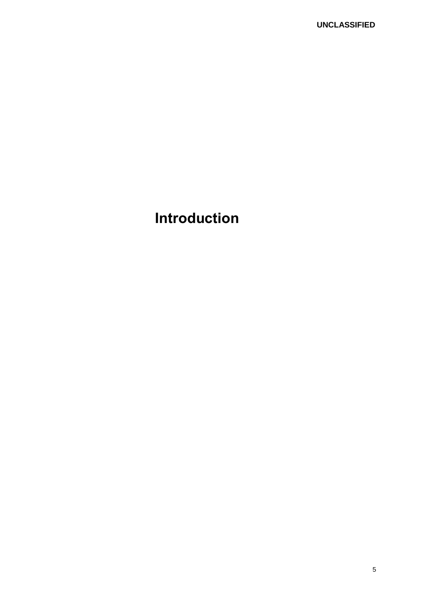## **Introduction**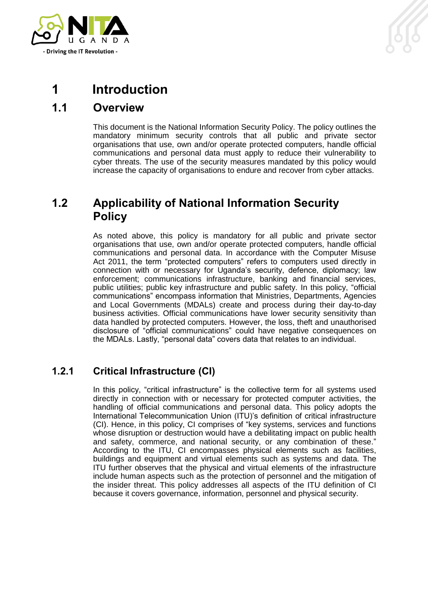

## <span id="page-5-0"></span>**1 Introduction**

### <span id="page-5-1"></span>**1.1 Overview**

This document is the National Information Security Policy. The policy outlines the mandatory minimum security controls that all public and private sector organisations that use, own and/or operate protected computers, handle official communications and personal data must apply to reduce their vulnerability to cyber threats. The use of the security measures mandated by this policy would increase the capacity of organisations to endure and recover from cyber attacks.

### <span id="page-5-2"></span>**1.2 Applicability of National Information Security Policy**

As noted above, this policy is mandatory for all public and private sector organisations that use, own and/or operate protected computers, handle official communications and personal data. In accordance with the Computer Misuse Act 2011, the term "protected computers" refers to computers used directly in connection with or necessary for Uganda's security, defence, diplomacy; law enforcement; communications infrastructure, banking and financial services, public utilities; public key infrastructure and public safety. In this policy, "official communications" encompass information that Ministries, Departments, Agencies and Local Governments (MDALs) create and process during their day-to-day business activities. Official communications have lower security sensitivity than data handled by protected computers. However, the loss, theft and unauthorised disclosure of "official communications" could have negative consequences on the MDALs. Lastly, "personal data" covers data that relates to an individual.

### <span id="page-5-3"></span>**1.2.1 Critical Infrastructure (CI)**

In this policy, "critical infrastructure" is the collective term for all systems used directly in connection with or necessary for protected computer activities, the handling of official communications and personal data. This policy adopts the International Telecommunication Union (ITU)'s definition of critical infrastructure (CI). Hence, in this policy, CI comprises of "key systems, services and functions whose disruption or destruction would have a debilitating impact on public health and safety, commerce, and national security, or any combination of these." According to the ITU, CI encompasses physical elements such as facilities, buildings and equipment and virtual elements such as systems and data. The ITU further observes that the physical and virtual elements of the infrastructure include human aspects such as the protection of personnel and the mitigation of the insider threat. This policy addresses all aspects of the ITU definition of CI because it covers governance, information, personnel and physical security.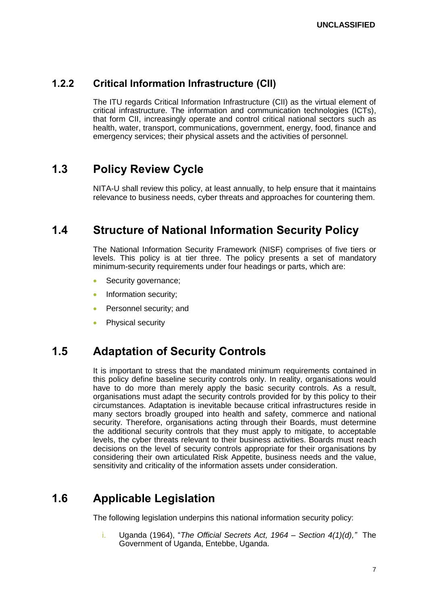### <span id="page-6-0"></span>**1.2.2 Critical Information Infrastructure (CII)**

The ITU regards Critical Information Infrastructure (CII) as the virtual element of critical infrastructure. The information and communication technologies (ICTs), that form CII, increasingly operate and control critical national sectors such as health, water, transport, communications, government, energy, food, finance and emergency services; their physical assets and the activities of personnel.

## <span id="page-6-1"></span>**1.3 Policy Review Cycle**

NITA-U shall review this policy, at least annually, to help ensure that it maintains relevance to business needs, cyber threats and approaches for countering them.

## <span id="page-6-2"></span>**1.4 Structure of National Information Security Policy**

The National Information Security Framework (NISF) comprises of five tiers or levels. This policy is at tier three. The policy presents a set of mandatory minimum-security requirements under four headings or parts, which are:

- Security governance;
- Information security;
- Personnel security; and
- Physical security

## <span id="page-6-3"></span>**1.5 Adaptation of Security Controls**

It is important to stress that the mandated minimum requirements contained in this policy define baseline security controls only. In reality, organisations would have to do more than merely apply the basic security controls. As a result, organisations must adapt the security controls provided for by this policy to their circumstances. Adaptation is inevitable because critical infrastructures reside in many sectors broadly grouped into health and safety, commerce and national security. Therefore, organisations acting through their Boards, must determine the additional security controls that they must apply to mitigate, to acceptable levels, the cyber threats relevant to their business activities. Boards must reach decisions on the level of security controls appropriate for their organisations by considering their own articulated Risk Appetite, business needs and the value, sensitivity and criticality of the information assets under consideration.

## <span id="page-6-4"></span>**1.6 Applicable Legislation**

The following legislation underpins this national information security policy:

i. Uganda (1964), "*The Official Secrets Act, 1964 – Section 4(1)(d),"* The Government of Uganda, Entebbe, Uganda.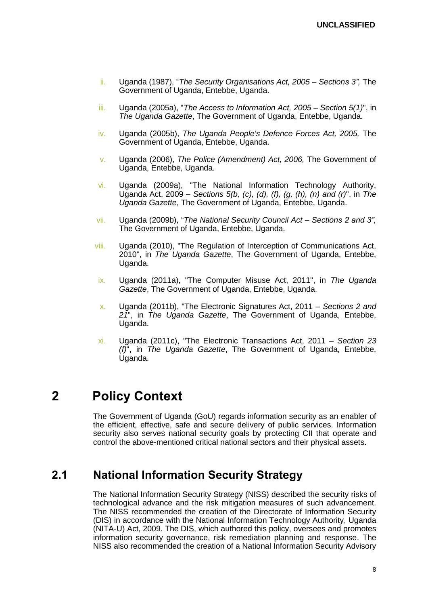- ii. Uganda (1987), "*The Security Organisations Act, 2005 Sections 3",* The Government of Uganda, Entebbe, Uganda.
- iii. Uganda (2005a), "*The Access to Information Act, 2005 – Section 5(1)*", in *The Uganda Gazette*, The Government of Uganda, Entebbe, Uganda.
- iv. Uganda (2005b), *The Uganda People's Defence Forces Act, 2005,* The Government of Uganda, Entebbe, Uganda.
- v. Uganda (2006), *The Police (Amendment) Act, 2006,* The Government of Uganda, Entebbe, Uganda.
- vi. Uganda (2009a), "The National Information Technology Authority, Uganda Act, 2009 – *Sections 5(b, (c), (d), (f), (g, (h), (n) and (r)*", in *The Uganda Gazette*, The Government of Uganda, Entebbe, Uganda.
- vii. Uganda (2009b), "*The National Security Council Act Sections 2 and 3",*  The Government of Uganda, Entebbe, Uganda.
- viii. Uganda (2010), "The Regulation of Interception of Communications Act, 2010", in *The Uganda Gazette*, The Government of Uganda, Entebbe, Uganda.
- ix. Uganda (2011a), "The Computer Misuse Act, 2011", in *The Uganda Gazette*, The Government of Uganda, Entebbe, Uganda.
- x. Uganda (2011b), "The Electronic Signatures Act, 2011 *Sections 2 and 21*", in *The Uganda Gazette*, The Government of Uganda, Entebbe, Uganda.
- xi. Uganda (2011c), "The Electronic Transactions Act, 2011 *Section 23 (f)*", in *The Uganda Gazette*, The Government of Uganda, Entebbe, Uganda.

## <span id="page-7-0"></span>**2 Policy Context**

The Government of Uganda (GoU) regards information security as an enabler of the efficient, effective, safe and secure delivery of public services. Information security also serves national security goals by protecting CII that operate and control the above-mentioned critical national sectors and their physical assets.

### <span id="page-7-1"></span>**2.1 National Information Security Strategy**

The National Information Security Strategy (NISS) described the security risks of technological advance and the risk mitigation measures of such advancement. The NISS recommended the creation of the Directorate of Information Security (DIS) in accordance with the National Information Technology Authority, Uganda (NITA-U) Act, 2009. The DIS, which authored this policy, oversees and promotes information security governance, risk remediation planning and response. The NISS also recommended the creation of a National Information Security Advisory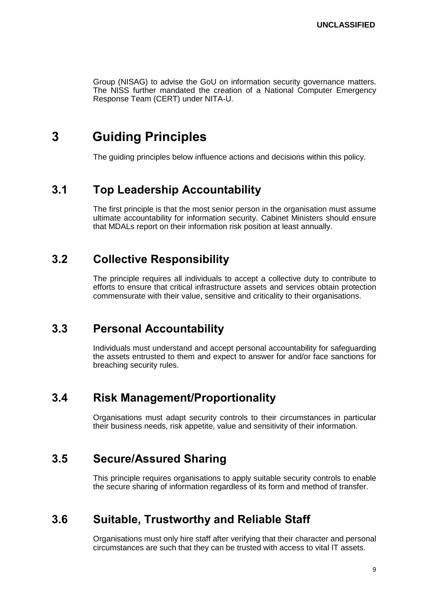Group (NISAG) to advise the GoU on information security governance matters. The NISS further mandated the creation of a National Computer Emergency Response Team (CERT) under NITA-U.

## <span id="page-8-0"></span>**3 Guiding Principles**

The guiding principles below influence actions and decisions within this policy.

### <span id="page-8-1"></span>**3.1 Top Leadership Accountability**

The first principle is that the most senior person in the organisation must assume ultimate accountability for information security. Cabinet Ministers should ensure that MDALs report on their information risk position at least annually.

### <span id="page-8-2"></span>**3.2 Collective Responsibility**

The principle requires all individuals to accept a collective duty to contribute to efforts to ensure that critical infrastructure assets and services obtain protection commensurate with their value, sensitive and criticality to their organisations.

### <span id="page-8-3"></span>**3.3 Personal Accountability**

Individuals must understand and accept personal accountability for safeguarding the assets entrusted to them and expect to answer for and/or face sanctions for breaching security rules.

### <span id="page-8-4"></span>**3.4 Risk Management/Proportionality**

Organisations must adapt security controls to their circumstances in particular their business needs, risk appetite, value and sensitivity of their information.

### <span id="page-8-5"></span>**3.5 Secure/Assured Sharing**

This principle requires organisations to apply suitable security controls to enable the secure sharing of information regardless of its form and method of transfer.

### <span id="page-8-6"></span>**3.6 Suitable, Trustworthy and Reliable Staff**

Organisations must only hire staff after verifying that their character and personal circumstances are such that they can be trusted with access to vital IT assets.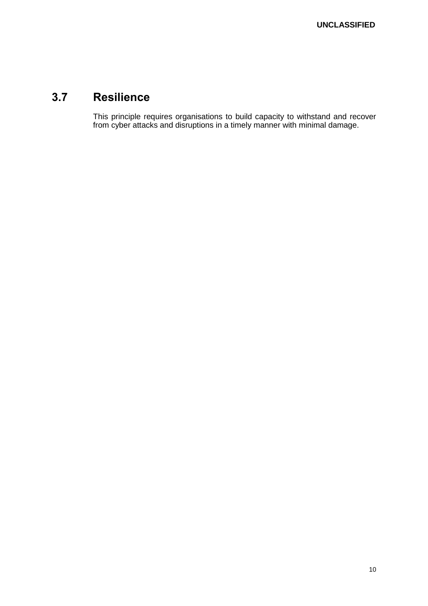## <span id="page-9-0"></span>**3.7 Resilience**

This principle requires organisations to build capacity to withstand and recover from cyber attacks and disruptions in a timely manner with minimal damage.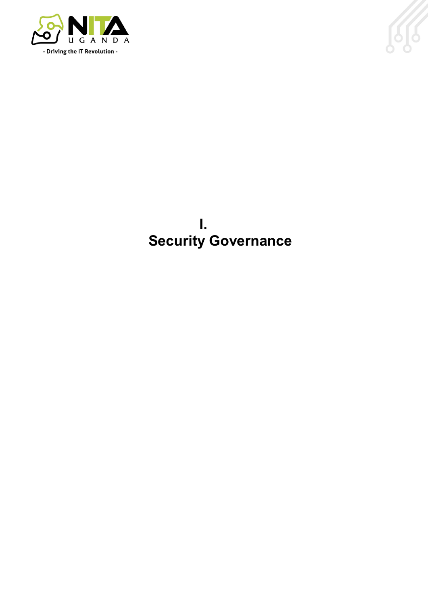



## **I. Security Governance**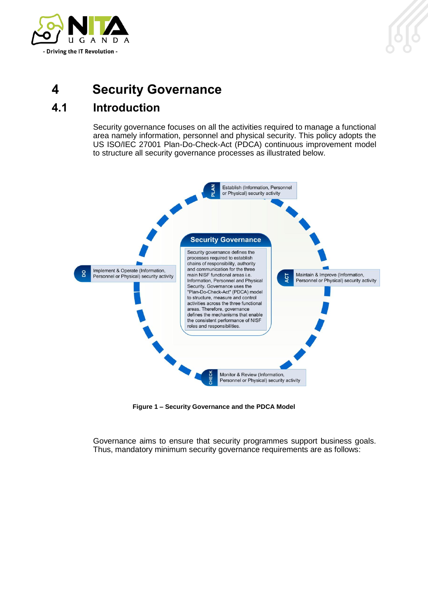

## <span id="page-11-0"></span>**4 Security Governance**

## <span id="page-11-1"></span>**4.1 Introduction**

Security governance focuses on all the activities required to manage a functional area namely information, personnel and physical security. This policy adopts the US ISO/IEC 27001 Plan-Do-Check-Act (PDCA) continuous improvement model to structure all security governance processes as illustrated below.



**Figure 1 – Security Governance and the PDCA Model**

Governance aims to ensure that security programmes support business goals. Thus, mandatory minimum security governance requirements are as follows: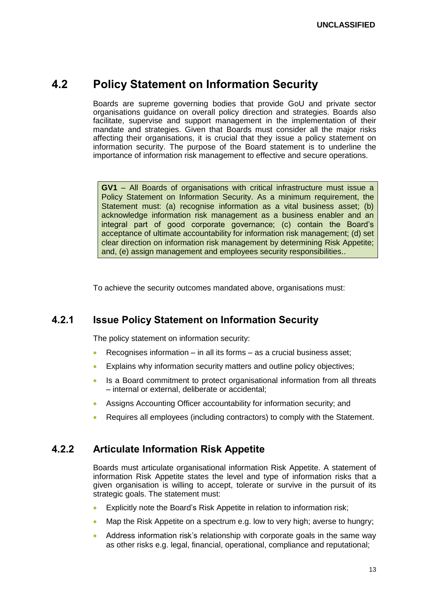### <span id="page-12-0"></span>**4.2 Policy Statement on Information Security**

Boards are supreme governing bodies that provide GoU and private sector organisations guidance on overall policy direction and strategies. Boards also facilitate, supervise and support management in the implementation of their mandate and strategies. Given that Boards must consider all the major risks affecting their organisations, it is crucial that they issue a policy statement on information security. The purpose of the Board statement is to underline the importance of information risk management to effective and secure operations.

**GV1** – All Boards of organisations with critical infrastructure must issue a Policy Statement on Information Security. As a minimum requirement, the Statement must: (a) recognise information as a vital business asset; (b) acknowledge information risk management as a business enabler and an integral part of good corporate governance; (c) contain the Board's acceptance of ultimate accountability for information risk management; (d) set clear direction on information risk management by determining Risk Appetite; and, (e) assign management and employees security responsibilities..

To achieve the security outcomes mandated above, organisations must:

#### <span id="page-12-1"></span>**4.2.1 Issue Policy Statement on Information Security**

The policy statement on information security:

- Recognises information in all its forms as a crucial business asset;
- Explains why information security matters and outline policy objectives;
- Is a Board commitment to protect organisational information from all threats – internal or external, deliberate or accidental;
- Assigns Accounting Officer accountability for information security; and
- Requires all employees (including contractors) to comply with the Statement.

#### <span id="page-12-2"></span>**4.2.2 Articulate Information Risk Appetite**

Boards must articulate organisational information Risk Appetite. A statement of information Risk Appetite states the level and type of information risks that a given organisation is willing to accept, tolerate or survive in the pursuit of its strategic goals. The statement must:

- Explicitly note the Board's Risk Appetite in relation to information risk;
- Map the Risk Appetite on a spectrum e.g. low to very high; averse to hungry;
- Address information risk's relationship with corporate goals in the same way as other risks e.g. legal, financial, operational, compliance and reputational;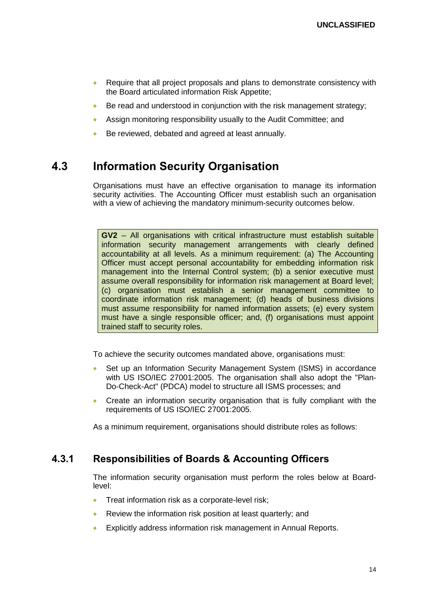- Require that all project proposals and plans to demonstrate consistency with the Board articulated information Risk Appetite;
- Be read and understood in conjunction with the risk management strategy;
- Assign monitoring responsibility usually to the Audit Committee; and
- Be reviewed, debated and agreed at least annually.

### <span id="page-13-0"></span>**4.3 Information Security Organisation**

Organisations must have an effective organisation to manage its information security activities. The Accounting Officer must establish such an organisation with a view of achieving the mandatory minimum-security outcomes below.

**GV2** – All organisations with critical infrastructure must establish suitable information security management arrangements with clearly defined accountability at all levels. As a minimum requirement: (a) The Accounting Officer must accept personal accountability for embedding information risk management into the Internal Control system; (b) a senior executive must assume overall responsibility for information risk management at Board level; (c) organisation must establish a senior management committee to coordinate information risk management; (d) heads of business divisions must assume responsibility for named information assets; (e) every system must have a single responsible officer; and, (f) organisations must appoint trained staff to security roles.

To achieve the security outcomes mandated above, organisations must:

- Set up an Information Security Management System (ISMS) in accordance with US ISO/IEC 27001:2005. The organisation shall also adopt the "Plan-Do-Check-Act" (PDCA) model to structure all ISMS processes; and
- Create an information security organisation that is fully compliant with the requirements of US ISO/IEC 27001:2005.

As a minimum requirement, organisations should distribute roles as follows:

#### <span id="page-13-1"></span>**4.3.1 Responsibilities of Boards & Accounting Officers**

The information security organisation must perform the roles below at Boardlevel:

- Treat information risk as a corporate-level risk;
- Review the information risk position at least quarterly; and
- Explicitly address information risk management in Annual Reports.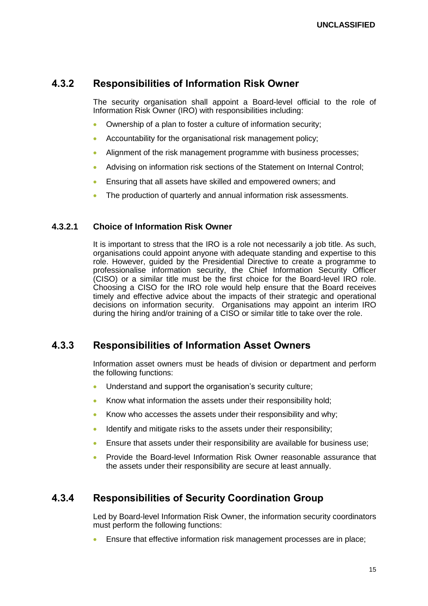#### <span id="page-14-0"></span>**4.3.2 Responsibilities of Information Risk Owner**

The security organisation shall appoint a Board-level official to the role of Information Risk Owner (IRO) with responsibilities including:

- Ownership of a plan to foster a culture of information security;
- Accountability for the organisational risk management policy;
- Alignment of the risk management programme with business processes;
- Advising on information risk sections of the Statement on Internal Control;
- Ensuring that all assets have skilled and empowered owners; and
- The production of quarterly and annual information risk assessments.

#### **4.3.2.1 Choice of Information Risk Owner**

It is important to stress that the IRO is a role not necessarily a job title. As such, organisations could appoint anyone with adequate standing and expertise to this role. However, guided by the Presidential Directive to create a programme to professionalise information security, the Chief Information Security Officer (CISO) or a similar title must be the first choice for the Board-level IRO role. Choosing a CISO for the IRO role would help ensure that the Board receives timely and effective advice about the impacts of their strategic and operational decisions on information security. Organisations may appoint an interim IRO during the hiring and/or training of a CISO or similar title to take over the role.

### <span id="page-14-1"></span>**4.3.3 Responsibilities of Information Asset Owners**

Information asset owners must be heads of division or department and perform the following functions:

- Understand and support the organisation's security culture;
- Know what information the assets under their responsibility hold:
- Know who accesses the assets under their responsibility and why;
- Identify and mitigate risks to the assets under their responsibility;
- Ensure that assets under their responsibility are available for business use;
- Provide the Board-level Information Risk Owner reasonable assurance that the assets under their responsibility are secure at least annually.

### <span id="page-14-2"></span>**4.3.4 Responsibilities of Security Coordination Group**

Led by Board-level Information Risk Owner, the information security coordinators must perform the following functions:

Ensure that effective information risk management processes are in place;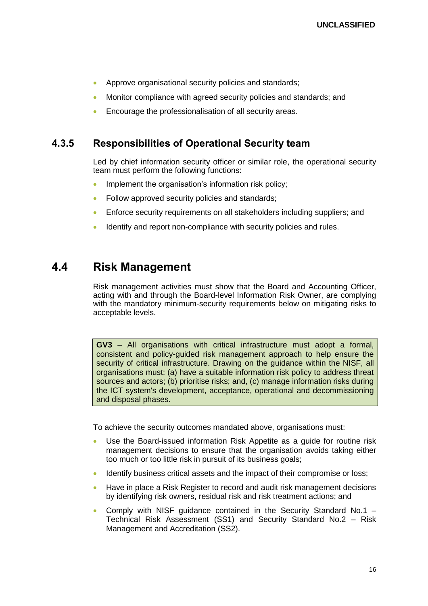- Approve organisational security policies and standards;
- Monitor compliance with agreed security policies and standards; and
- Encourage the professionalisation of all security areas.

#### <span id="page-15-0"></span>**4.3.5 Responsibilities of Operational Security team**

Led by chief information security officer or similar role, the operational security team must perform the following functions:

- Implement the organisation's information risk policy;
- Follow approved security policies and standards;
- Enforce security requirements on all stakeholders including suppliers; and
- Identify and report non-compliance with security policies and rules.

### <span id="page-15-1"></span>**4.4 Risk Management**

Risk management activities must show that the Board and Accounting Officer, acting with and through the Board-level Information Risk Owner, are complying with the mandatory minimum-security requirements below on mitigating risks to acceptable levels.

**GV3** – All organisations with critical infrastructure must adopt a formal, consistent and policy-guided risk management approach to help ensure the security of critical infrastructure. Drawing on the guidance within the NISF, all organisations must: (a) have a suitable information risk policy to address threat sources and actors; (b) prioritise risks; and, (c) manage information risks during the ICT system's development, acceptance, operational and decommissioning and disposal phases.

- Use the Board-issued information Risk Appetite as a guide for routine risk management decisions to ensure that the organisation avoids taking either too much or too little risk in pursuit of its business goals;
- Identify business critical assets and the impact of their compromise or loss;
- Have in place a Risk Register to record and audit risk management decisions by identifying risk owners, residual risk and risk treatment actions; and
- Comply with NISF guidance contained in the Security Standard No.1 Technical Risk Assessment (SS1) and Security Standard No.2 – Risk Management and Accreditation (SS2).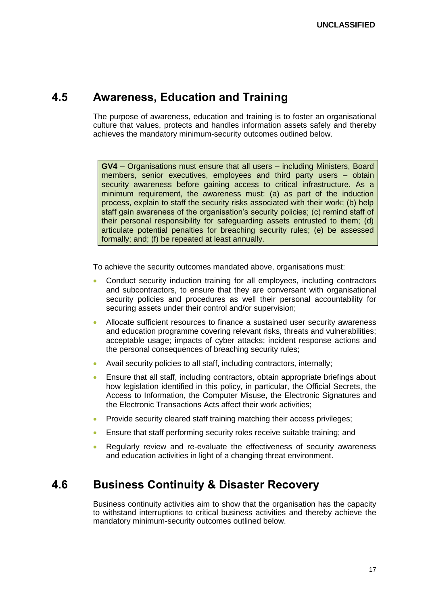### <span id="page-16-0"></span>**4.5 Awareness, Education and Training**

The purpose of awareness, education and training is to foster an organisational culture that values, protects and handles information assets safely and thereby achieves the mandatory minimum-security outcomes outlined below.

**GV4** – Organisations must ensure that all users – including Ministers, Board members, senior executives, employees and third party users – obtain security awareness before gaining access to critical infrastructure. As a minimum requirement, the awareness must: (a) as part of the induction process, explain to staff the security risks associated with their work; (b) help staff gain awareness of the organisation's security policies; (c) remind staff of their personal responsibility for safeguarding assets entrusted to them; (d) articulate potential penalties for breaching security rules; (e) be assessed formally; and; (f) be repeated at least annually.

To achieve the security outcomes mandated above, organisations must:

- Conduct security induction training for all employees, including contractors and subcontractors, to ensure that they are conversant with organisational security policies and procedures as well their personal accountability for securing assets under their control and/or supervision;
- Allocate sufficient resources to finance a sustained user security awareness and education programme covering relevant risks, threats and vulnerabilities; acceptable usage; impacts of cyber attacks; incident response actions and the personal consequences of breaching security rules;
- Avail security policies to all staff, including contractors, internally;
- Ensure that all staff, including contractors, obtain appropriate briefings about how legislation identified in this policy, in particular, the Official Secrets, the Access to Information, the Computer Misuse, the Electronic Signatures and the Electronic Transactions Acts affect their work activities;
- Provide security cleared staff training matching their access privileges;
- **Ensure that staff performing security roles receive suitable training; and**
- Regularly review and re-evaluate the effectiveness of security awareness and education activities in light of a changing threat environment.

### <span id="page-16-1"></span>**4.6 Business Continuity & Disaster Recovery**

Business continuity activities aim to show that the organisation has the capacity to withstand interruptions to critical business activities and thereby achieve the mandatory minimum-security outcomes outlined below.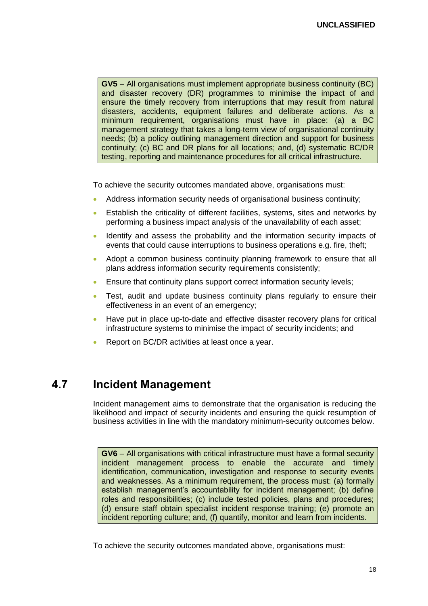**GV5** – All organisations must implement appropriate business continuity (BC) and disaster recovery (DR) programmes to minimise the impact of and ensure the timely recovery from interruptions that may result from natural disasters, accidents, equipment failures and deliberate actions. As a minimum requirement, organisations must have in place: (a) a BC management strategy that takes a long-term view of organisational continuity needs; (b) a policy outlining management direction and support for business continuity; (c) BC and DR plans for all locations; and, (d) systematic BC/DR testing, reporting and maintenance procedures for all critical infrastructure.

To achieve the security outcomes mandated above, organisations must:

- Address information security needs of organisational business continuity;
- Establish the criticality of different facilities, systems, sites and networks by performing a business impact analysis of the unavailability of each asset;
- Identify and assess the probability and the information security impacts of events that could cause interruptions to business operations e.g. fire, theft;
- Adopt a common business continuity planning framework to ensure that all plans address information security requirements consistently;
- Ensure that continuity plans support correct information security levels;
- Test, audit and update business continuity plans regularly to ensure their effectiveness in an event of an emergency;
- Have put in place up-to-date and effective disaster recovery plans for critical infrastructure systems to minimise the impact of security incidents; and
- Report on BC/DR activities at least once a year.

### <span id="page-17-0"></span>**4.7 Incident Management**

Incident management aims to demonstrate that the organisation is reducing the likelihood and impact of security incidents and ensuring the quick resumption of business activities in line with the mandatory minimum-security outcomes below.

**GV6** – All organisations with critical infrastructure must have a formal security incident management process to enable the accurate and timely identification, communication, investigation and response to security events and weaknesses. As a minimum requirement, the process must: (a) formally establish management's accountability for incident management; (b) define roles and responsibilities; (c) include tested policies, plans and procedures; (d) ensure staff obtain specialist incident response training; (e) promote an incident reporting culture; and, (f) quantify, monitor and learn from incidents.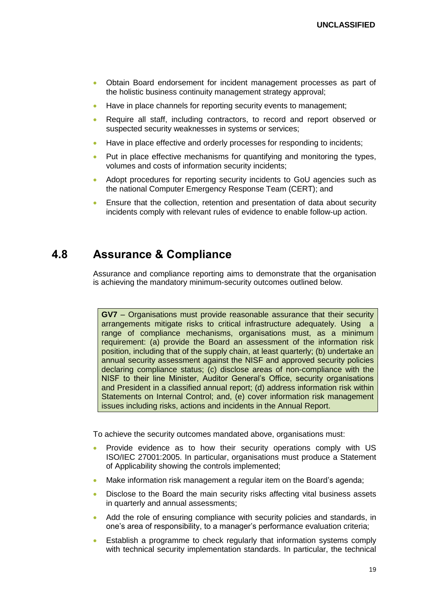- Obtain Board endorsement for incident management processes as part of the holistic business continuity management strategy approval;
- Have in place channels for reporting security events to management;
- Require all staff, including contractors, to record and report observed or suspected security weaknesses in systems or services;
- Have in place effective and orderly processes for responding to incidents;
- Put in place effective mechanisms for quantifying and monitoring the types, volumes and costs of information security incidents;
- Adopt procedures for reporting security incidents to GoU agencies such as the national Computer Emergency Response Team (CERT); and
- Ensure that the collection, retention and presentation of data about security incidents comply with relevant rules of evidence to enable follow-up action.

### <span id="page-18-0"></span>**4.8 Assurance & Compliance**

Assurance and compliance reporting aims to demonstrate that the organisation is achieving the mandatory minimum-security outcomes outlined below.

**GV7** – Organisations must provide reasonable assurance that their security arrangements mitigate risks to critical infrastructure adequately. Using a range of compliance mechanisms, organisations must, as a minimum requirement: (a) provide the Board an assessment of the information risk position, including that of the supply chain, at least quarterly; (b) undertake an annual security assessment against the NISF and approved security policies declaring compliance status; (c) disclose areas of non-compliance with the NISF to their line Minister, Auditor General's Office, security organisations and President in a classified annual report; (d) address information risk within Statements on Internal Control; and, (e) cover information risk management issues including risks, actions and incidents in the Annual Report.

- Provide evidence as to how their security operations comply with US ISO/IEC 27001:2005. In particular, organisations must produce a Statement of Applicability showing the controls implemented;
- Make information risk management a regular item on the Board's agenda;
- Disclose to the Board the main security risks affecting vital business assets in quarterly and annual assessments;
- Add the role of ensuring compliance with security policies and standards, in one's area of responsibility, to a manager's performance evaluation criteria;
- Establish a programme to check regularly that information systems comply with technical security implementation standards. In particular, the technical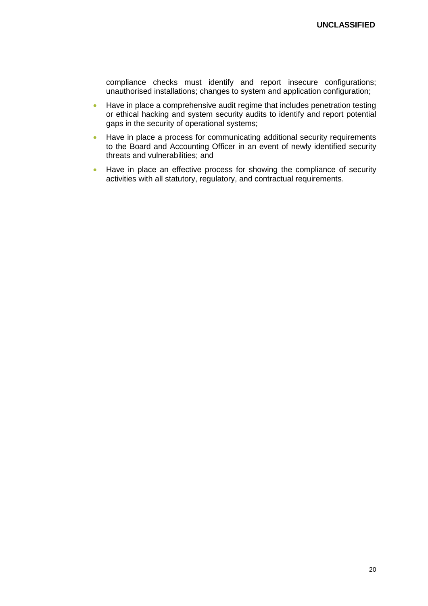compliance checks must identify and report insecure configurations; unauthorised installations; changes to system and application configuration;

- Have in place a comprehensive audit regime that includes penetration testing or ethical hacking and system security audits to identify and report potential gaps in the security of operational systems;
- Have in place a process for communicating additional security requirements to the Board and Accounting Officer in an event of newly identified security threats and vulnerabilities; and
- Have in place an effective process for showing the compliance of security activities with all statutory, regulatory, and contractual requirements.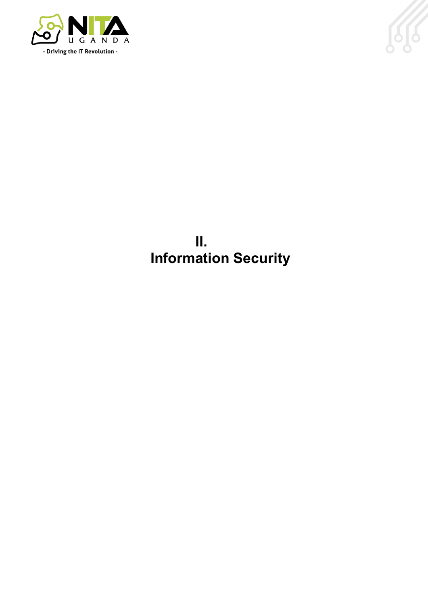



**II. Information Security**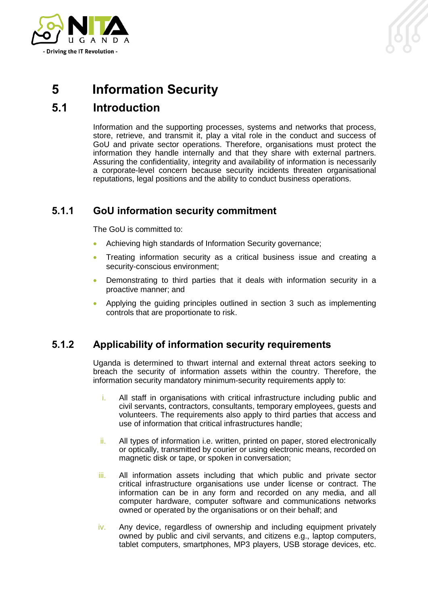

## <span id="page-21-0"></span>**5 Information Security**

## <span id="page-21-1"></span>**5.1 Introduction**

Information and the supporting processes, systems and networks that process, store, retrieve, and transmit it, play a vital role in the conduct and success of GoU and private sector operations. Therefore, organisations must protect the information they handle internally and that they share with external partners. Assuring the confidentiality, integrity and availability of information is necessarily a corporate-level concern because security incidents threaten organisational reputations, legal positions and the ability to conduct business operations.

### <span id="page-21-2"></span>**5.1.1 GoU information security commitment**

The GoU is committed to:

- Achieving high standards of Information Security governance;
- Treating information security as a critical business issue and creating a security-conscious environment;
- Demonstrating to third parties that it deals with information security in a proactive manner; and
- Applying the guiding principles outlined in section 3 such as implementing controls that are proportionate to risk.

### <span id="page-21-3"></span>**5.1.2 Applicability of information security requirements**

Uganda is determined to thwart internal and external threat actors seeking to breach the security of information assets within the country. Therefore, the information security mandatory minimum-security requirements apply to:

- i. All staff in organisations with critical infrastructure including public and civil servants, contractors, consultants, temporary employees, guests and volunteers. The requirements also apply to third parties that access and use of information that critical infrastructures handle;
- ii. All types of information i.e. written, printed on paper, stored electronically or optically, transmitted by courier or using electronic means, recorded on magnetic disk or tape, or spoken in conversation;
- iii. All information assets including that which public and private sector critical infrastructure organisations use under license or contract. The information can be in any form and recorded on any media, and all computer hardware, computer software and communications networks owned or operated by the organisations or on their behalf; and
- $iv.$  Any device, regardless of ownership and including equipment privately owned by public and civil servants, and citizens e.g., laptop computers, tablet computers, smartphones, MP3 players, USB storage devices, etc.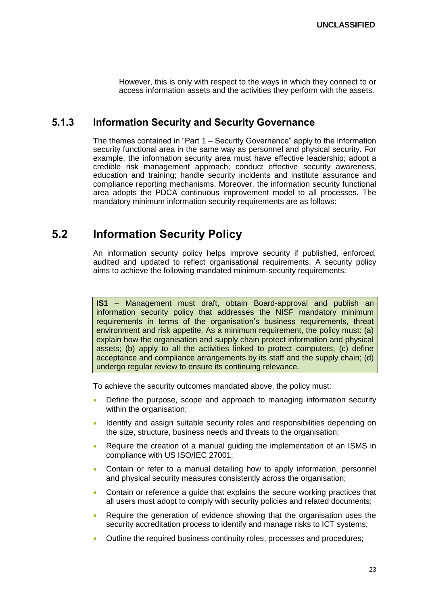However, this is only with respect to the ways in which they connect to or access information assets and the activities they perform with the assets.

#### <span id="page-22-0"></span>**5.1.3 Information Security and Security Governance**

The themes contained in "Part 1 – Security Governance" apply to the information security functional area in the same way as personnel and physical security. For example, the information security area must have effective leadership; adopt a credible risk management approach; conduct effective security awareness, education and training; handle security incidents and institute assurance and compliance reporting mechanisms. Moreover, the information security functional area adopts the PDCA continuous improvement model to all processes. The mandatory minimum information security requirements are as follows:

### <span id="page-22-1"></span>**5.2 Information Security Policy**

An information security policy helps improve security if published, enforced, audited and updated to reflect organisational requirements. A security policy aims to achieve the following mandated minimum-security requirements:

**IS1** – Management must draft, obtain Board-approval and publish an information security policy that addresses the NISF mandatory minimum requirements in terms of the organisation's business requirements, threat environment and risk appetite. As a minimum requirement, the policy must: (a) explain how the organisation and supply chain protect information and physical assets; (b) apply to all the activities linked to protect computers; (c) define acceptance and compliance arrangements by its staff and the supply chain; (d) undergo regular review to ensure its continuing relevance.

To achieve the security outcomes mandated above, the policy must:

- Define the purpose, scope and approach to managing information security within the organisation;
- Identify and assign suitable security roles and responsibilities depending on the size, structure, business needs and threats to the organisation;
- Require the creation of a manual guiding the implementation of an ISMS in compliance with US ISO/IEC 27001;
- Contain or refer to a manual detailing how to apply information, personnel and physical security measures consistently across the organisation;
- Contain or reference a guide that explains the secure working practices that all users must adopt to comply with security policies and related documents;
- Require the generation of evidence showing that the organisation uses the security accreditation process to identify and manage risks to ICT systems;
- Outline the required business continuity roles, processes and procedures;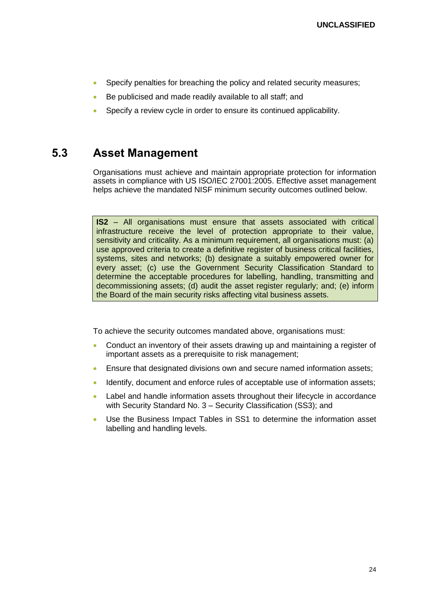- Specify penalties for breaching the policy and related security measures;
- Be publicised and made readily available to all staff; and
- Specify a review cycle in order to ensure its continued applicability.

### <span id="page-23-0"></span>**5.3 Asset Management**

Organisations must achieve and maintain appropriate protection for information assets in compliance with US ISO/IEC 27001:2005. Effective asset management helps achieve the mandated NISF minimum security outcomes outlined below.

**IS2** – All organisations must ensure that assets associated with critical infrastructure receive the level of protection appropriate to their value, sensitivity and criticality. As a minimum requirement, all organisations must: (a) use approved criteria to create a definitive register of business critical facilities, systems, sites and networks; (b) designate a suitably empowered owner for every asset; (c) use the Government Security Classification Standard to determine the acceptable procedures for labelling, handling, transmitting and decommissioning assets; (d) audit the asset register regularly; and; (e) inform the Board of the main security risks affecting vital business assets.

- Conduct an inventory of their assets drawing up and maintaining a register of important assets as a prerequisite to risk management;
- Ensure that designated divisions own and secure named information assets;
- Identify, document and enforce rules of acceptable use of information assets;
- Label and handle information assets throughout their lifecycle in accordance with Security Standard No. 3 – Security Classification (SS3); and
- Use the Business Impact Tables in SS1 to determine the information asset labelling and handling levels.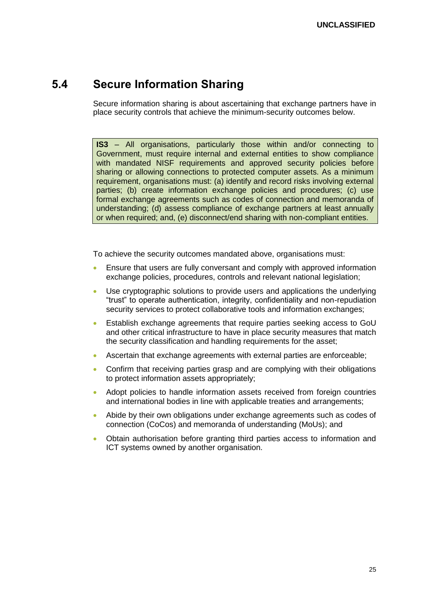### <span id="page-24-0"></span>**5.4 Secure Information Sharing**

Secure information sharing is about ascertaining that exchange partners have in place security controls that achieve the minimum-security outcomes below.

**IS3** – All organisations, particularly those within and/or connecting to Government, must require internal and external entities to show compliance with mandated NISF requirements and approved security policies before sharing or allowing connections to protected computer assets. As a minimum requirement, organisations must: (a) identify and record risks involving external parties; (b) create information exchange policies and procedures; (c) use formal exchange agreements such as codes of connection and memoranda of understanding; (d) assess compliance of exchange partners at least annually or when required; and, (e) disconnect/end sharing with non-compliant entities.

- Ensure that users are fully conversant and comply with approved information exchange policies, procedures, controls and relevant national legislation;
- Use cryptographic solutions to provide users and applications the underlying "trust" to operate authentication, integrity, confidentiality and non-repudiation security services to protect collaborative tools and information exchanges;
- Establish exchange agreements that require parties seeking access to GoU and other critical infrastructure to have in place security measures that match the security classification and handling requirements for the asset;
- Ascertain that exchange agreements with external parties are enforceable;
- Confirm that receiving parties grasp and are complying with their obligations to protect information assets appropriately;
- Adopt policies to handle information assets received from foreign countries and international bodies in line with applicable treaties and arrangements;
- Abide by their own obligations under exchange agreements such as codes of connection (CoCos) and memoranda of understanding (MoUs); and
- Obtain authorisation before granting third parties access to information and ICT systems owned by another organisation.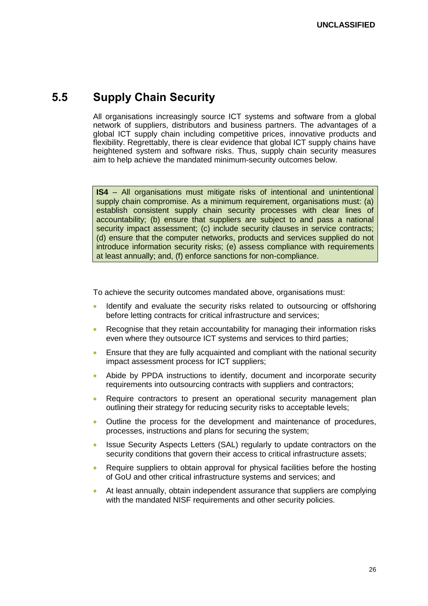### <span id="page-25-0"></span>**5.5 Supply Chain Security**

All organisations increasingly source ICT systems and software from a global network of suppliers, distributors and business partners. The advantages of a global ICT supply chain including competitive prices, innovative products and flexibility. Regrettably, there is clear evidence that global ICT supply chains have heightened system and software risks. Thus, supply chain security measures aim to help achieve the mandated minimum-security outcomes below.

**IS4** – All organisations must mitigate risks of intentional and unintentional supply chain compromise. As a minimum requirement, organisations must: (a) establish consistent supply chain security processes with clear lines of accountability; (b) ensure that suppliers are subject to and pass a national security impact assessment; (c) include security clauses in service contracts; (d) ensure that the computer networks, products and services supplied do not introduce information security risks; (e) assess compliance with requirements at least annually; and, (f) enforce sanctions for non-compliance.

- Identify and evaluate the security risks related to outsourcing or offshoring before letting contracts for critical infrastructure and services;
- Recognise that they retain accountability for managing their information risks even where they outsource ICT systems and services to third parties;
- Ensure that they are fully acquainted and compliant with the national security impact assessment process for ICT suppliers;
- Abide by PPDA instructions to identify, document and incorporate security requirements into outsourcing contracts with suppliers and contractors;
- Require contractors to present an operational security management plan outlining their strategy for reducing security risks to acceptable levels;
- Outline the process for the development and maintenance of procedures, processes, instructions and plans for securing the system;
- Issue Security Aspects Letters (SAL) regularly to update contractors on the security conditions that govern their access to critical infrastructure assets;
- Require suppliers to obtain approval for physical facilities before the hosting of GoU and other critical infrastructure systems and services; and
- At least annually, obtain independent assurance that suppliers are complying with the mandated NISF requirements and other security policies.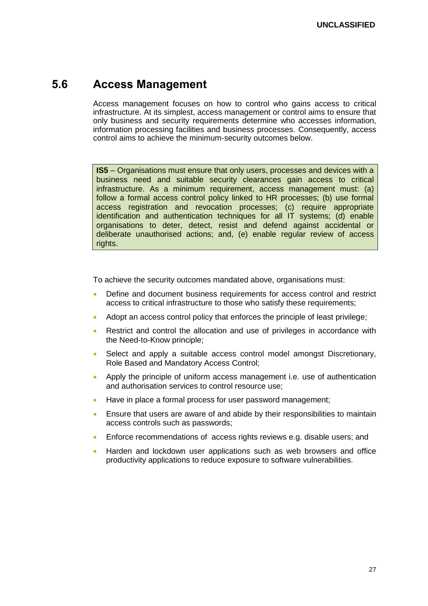### <span id="page-26-0"></span>**5.6 Access Management**

Access management focuses on how to control who gains access to critical infrastructure. At its simplest, access management or control aims to ensure that only business and security requirements determine who accesses information, information processing facilities and business processes. Consequently, access control aims to achieve the minimum-security outcomes below.

**IS5** – Organisations must ensure that only users, processes and devices with a business need and suitable security clearances gain access to critical infrastructure. As a minimum requirement, access management must: (a) follow a formal access control policy linked to HR processes; (b) use formal access registration and revocation processes; (c) require appropriate identification and authentication techniques for all IT systems; (d) enable organisations to deter, detect, resist and defend against accidental or deliberate unauthorised actions; and, (e) enable regular review of access rights.

- Define and document business requirements for access control and restrict access to critical infrastructure to those who satisfy these requirements;
- Adopt an access control policy that enforces the principle of least privilege;
- Restrict and control the allocation and use of privileges in accordance with the Need-to-Know principle;
- Select and apply a suitable access control model amongst Discretionary, Role Based and Mandatory Access Control;
- Apply the principle of uniform access management i.e. use of authentication and authorisation services to control resource use;
- Have in place a formal process for user password management;
- Ensure that users are aware of and abide by their responsibilities to maintain access controls such as passwords;
- Enforce recommendations of access rights reviews e.g. disable users; and
- Harden and lockdown user applications such as web browsers and office productivity applications to reduce exposure to software vulnerabilities.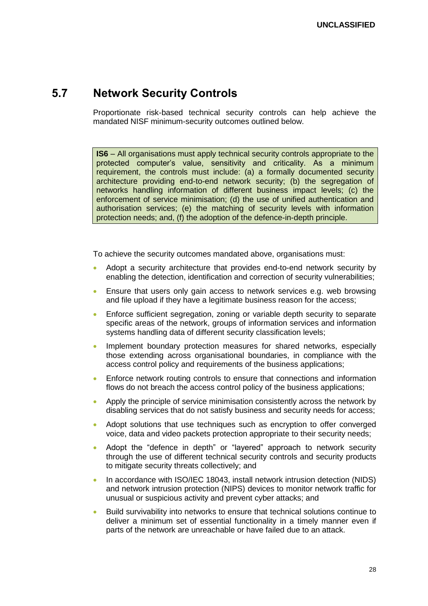### <span id="page-27-0"></span>**5.7 Network Security Controls**

Proportionate risk-based technical security controls can help achieve the mandated NISF minimum-security outcomes outlined below.

**IS6** – All organisations must apply technical security controls appropriate to the protected computer's value, sensitivity and criticality. As a minimum requirement, the controls must include: (a) a formally documented security architecture providing end-to-end network security; (b) the segregation of networks handling information of different business impact levels; (c) the enforcement of service minimisation; (d) the use of unified authentication and authorisation services; (e) the matching of security levels with information protection needs; and, (f) the adoption of the defence-in-depth principle.

- Adopt a security architecture that provides end-to-end network security by enabling the detection, identification and correction of security vulnerabilities;
- Ensure that users only gain access to network services e.g. web browsing and file upload if they have a legitimate business reason for the access;
- Enforce sufficient segregation, zoning or variable depth security to separate specific areas of the network, groups of information services and information systems handling data of different security classification levels;
- Implement boundary protection measures for shared networks, especially those extending across organisational boundaries, in compliance with the access control policy and requirements of the business applications;
- Enforce network routing controls to ensure that connections and information flows do not breach the access control policy of the business applications;
- Apply the principle of service minimisation consistently across the network by disabling services that do not satisfy business and security needs for access;
- Adopt solutions that use techniques such as encryption to offer converged voice, data and video packets protection appropriate to their security needs;
- Adopt the "defence in depth" or "layered" approach to network security through the use of different technical security controls and security products to mitigate security threats collectively; and
- In accordance with ISO/IEC 18043, install network intrusion detection (NIDS) and network intrusion protection (NIPS) devices to monitor network traffic for unusual or suspicious activity and prevent cyber attacks; and
- Build survivability into networks to ensure that technical solutions continue to deliver a minimum set of essential functionality in a timely manner even if parts of the network are unreachable or have failed due to an attack.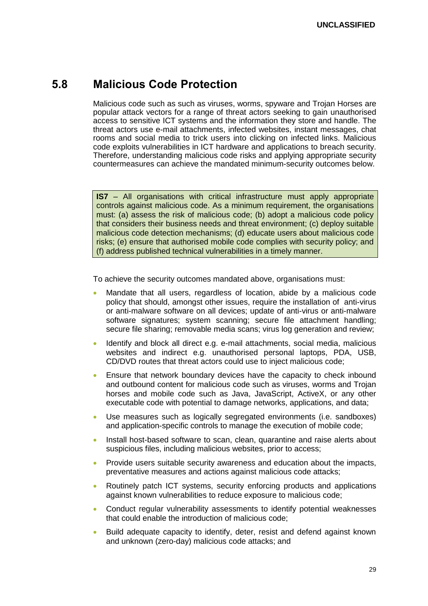### <span id="page-28-0"></span>**5.8 Malicious Code Protection**

Malicious code such as such as viruses, worms, spyware and Trojan Horses are popular attack vectors for a range of threat actors seeking to gain unauthorised access to sensitive ICT systems and the information they store and handle. The threat actors use e-mail attachments, infected websites, instant messages, chat rooms and social media to trick users into clicking on infected links. Malicious code exploits vulnerabilities in ICT hardware and applications to breach security. Therefore, understanding malicious code risks and applying appropriate security countermeasures can achieve the mandated minimum-security outcomes below.

**IS7** – All organisations with critical infrastructure must apply appropriate controls against malicious code. As a minimum requirement, the organisations must: (a) assess the risk of malicious code; (b) adopt a malicious code policy that considers their business needs and threat environment; (c) deploy suitable malicious code detection mechanisms; (d) educate users about malicious code risks; (e) ensure that authorised mobile code complies with security policy; and (f) address published technical vulnerabilities in a timely manner.

- Mandate that all users, regardless of location, abide by a malicious code policy that should, amongst other issues, require the installation of anti-virus or anti-malware software on all devices; update of anti-virus or anti-malware software signatures; system scanning; secure file attachment handling; secure file sharing; removable media scans; virus log generation and review;
- Identify and block all direct e.g. e-mail attachments, social media, malicious websites and indirect e.g. unauthorised personal laptops, PDA, USB, CD/DVD routes that threat actors could use to inject malicious code;
- Ensure that network boundary devices have the capacity to check inbound and outbound content for malicious code such as viruses, worms and Trojan horses and mobile code such as Java, JavaScript, ActiveX, or any other executable code with potential to damage networks, applications, and data;
- Use measures such as logically segregated environments (i.e. sandboxes) and application-specific controls to manage the execution of mobile code;
- Install host-based software to scan, clean, quarantine and raise alerts about suspicious files, including malicious websites, prior to access;
- Provide users suitable security awareness and education about the impacts, preventative measures and actions against malicious code attacks;
- Routinely patch ICT systems, security enforcing products and applications against known vulnerabilities to reduce exposure to malicious code;
- Conduct regular vulnerability assessments to identify potential weaknesses that could enable the introduction of malicious code;
- Build adequate capacity to identify, deter, resist and defend against known and unknown (zero-day) malicious code attacks; and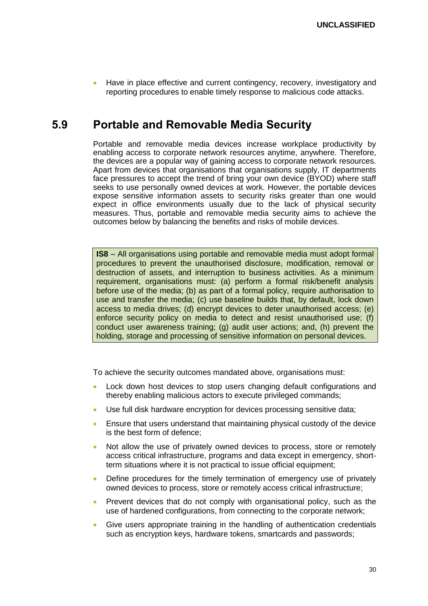Have in place effective and current contingency, recovery, investigatory and reporting procedures to enable timely response to malicious code attacks.

### <span id="page-29-0"></span>**5.9 Portable and Removable Media Security**

Portable and removable media devices increase workplace productivity by enabling access to corporate network resources anytime, anywhere. Therefore, the devices are a popular way of gaining access to corporate network resources. Apart from devices that organisations that organisations supply, IT departments face pressures to accept the trend of bring your own device (BYOD) where staff seeks to use personally owned devices at work. However, the portable devices expose sensitive information assets to security risks greater than one would expect in office environments usually due to the lack of physical security measures. Thus, portable and removable media security aims to achieve the outcomes below by balancing the benefits and risks of mobile devices.

**IS8** – All organisations using portable and removable media must adopt formal procedures to prevent the unauthorised disclosure, modification, removal or destruction of assets, and interruption to business activities. As a minimum requirement, organisations must: (a) perform a formal risk/benefit analysis before use of the media; (b) as part of a formal policy, require authorisation to use and transfer the media; (c) use baseline builds that, by default, lock down access to media drives; (d) encrypt devices to deter unauthorised access; (e) enforce security policy on media to detect and resist unauthorised use; (f) conduct user awareness training; (g) audit user actions; and, (h) prevent the holding, storage and processing of sensitive information on personal devices.

- Lock down host devices to stop users changing default configurations and thereby enabling malicious actors to execute privileged commands;
- Use full disk hardware encryption for devices processing sensitive data;
- Ensure that users understand that maintaining physical custody of the device is the best form of defence;
- Not allow the use of privately owned devices to process, store or remotely access critical infrastructure, programs and data except in emergency, shortterm situations where it is not practical to issue official equipment;
- Define procedures for the timely termination of emergency use of privately owned devices to process, store or remotely access critical infrastructure;
- Prevent devices that do not comply with organisational policy, such as the use of hardened configurations, from connecting to the corporate network;
- Give users appropriate training in the handling of authentication credentials such as encryption keys, hardware tokens, smartcards and passwords;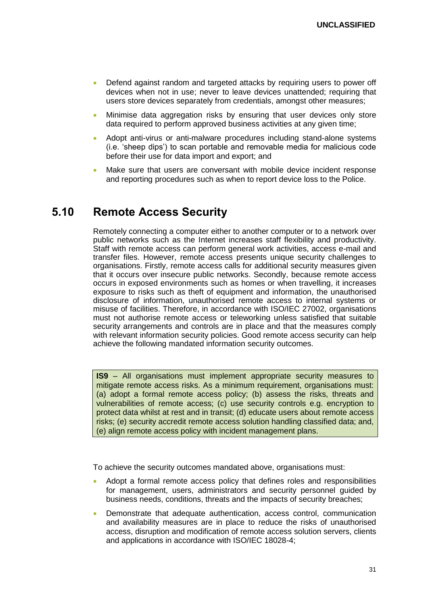- Defend against random and targeted attacks by requiring users to power off devices when not in use; never to leave devices unattended; requiring that users store devices separately from credentials, amongst other measures;
- Minimise data aggregation risks by ensuring that user devices only store data required to perform approved business activities at any given time;
- Adopt anti-virus or anti-malware procedures including stand-alone systems (i.e. 'sheep dips') to scan portable and removable media for malicious code before their use for data import and export; and
- Make sure that users are conversant with mobile device incident response and reporting procedures such as when to report device loss to the Police.

### <span id="page-30-0"></span>**5.10 Remote Access Security**

Remotely connecting a computer either to another computer or to a network over public networks such as the Internet increases staff flexibility and productivity. Staff with remote access can perform general work activities, access e-mail and transfer files. However, remote access presents unique security challenges to organisations. Firstly, remote access calls for additional security measures given that it occurs over insecure public networks. Secondly, because remote access occurs in exposed environments such as homes or when travelling, it increases exposure to risks such as theft of equipment and information, the unauthorised disclosure of information, unauthorised remote access to internal systems or misuse of facilities. Therefore, in accordance with ISO/IEC 27002, organisations must not authorise remote access or teleworking unless satisfied that suitable security arrangements and controls are in place and that the measures comply with relevant information security policies. Good remote access security can help achieve the following mandated information security outcomes.

**IS9** – All organisations must implement appropriate security measures to mitigate remote access risks. As a minimum requirement, organisations must: (a) adopt a formal remote access policy; (b) assess the risks, threats and vulnerabilities of remote access; (c) use security controls e.g. encryption to protect data whilst at rest and in transit; (d) educate users about remote access risks; (e) security accredit remote access solution handling classified data; and, (e) align remote access policy with incident management plans.

- Adopt a formal remote access policy that defines roles and responsibilities for management, users, administrators and security personnel guided by business needs, conditions, threats and the impacts of security breaches;
- Demonstrate that adequate authentication, access control, communication and availability measures are in place to reduce the risks of unauthorised access, disruption and modification of remote access solution servers, clients and applications in accordance with ISO/IEC 18028-4;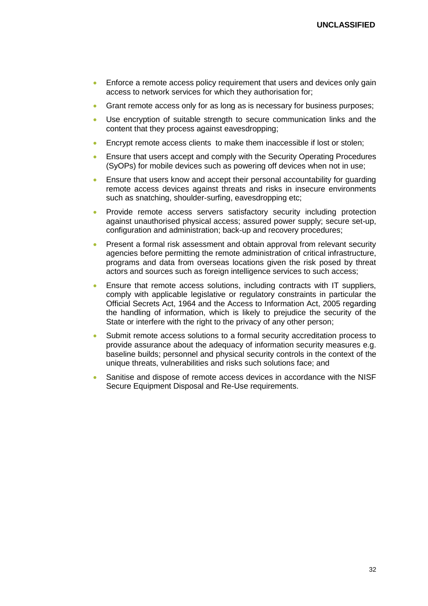- **Enforce a remote access policy requirement that users and devices only gain** access to network services for which they authorisation for;
- Grant remote access only for as long as is necessary for business purposes;
- Use encryption of suitable strength to secure communication links and the content that they process against eavesdropping;
- **Encrypt remote access clients to make them inaccessible if lost or stolen;**
- Ensure that users accept and comply with the Security Operating Procedures (SyOPs) for mobile devices such as powering off devices when not in use;
- Ensure that users know and accept their personal accountability for guarding remote access devices against threats and risks in insecure environments such as snatching, shoulder-surfing, eavesdropping etc;
- Provide remote access servers satisfactory security including protection against unauthorised physical access; assured power supply; secure set-up, configuration and administration; back-up and recovery procedures;
- Present a formal risk assessment and obtain approval from relevant security agencies before permitting the remote administration of critical infrastructure, programs and data from overseas locations given the risk posed by threat actors and sources such as foreign intelligence services to such access;
- Ensure that remote access solutions, including contracts with IT suppliers, comply with applicable legislative or regulatory constraints in particular the Official Secrets Act, 1964 and the Access to Information Act, 2005 regarding the handling of information, which is likely to prejudice the security of the State or interfere with the right to the privacy of any other person;
- Submit remote access solutions to a formal security accreditation process to provide assurance about the adequacy of information security measures e.g. baseline builds; personnel and physical security controls in the context of the unique threats, vulnerabilities and risks such solutions face; and
- Sanitise and dispose of remote access devices in accordance with the NISF Secure Equipment Disposal and Re-Use requirements.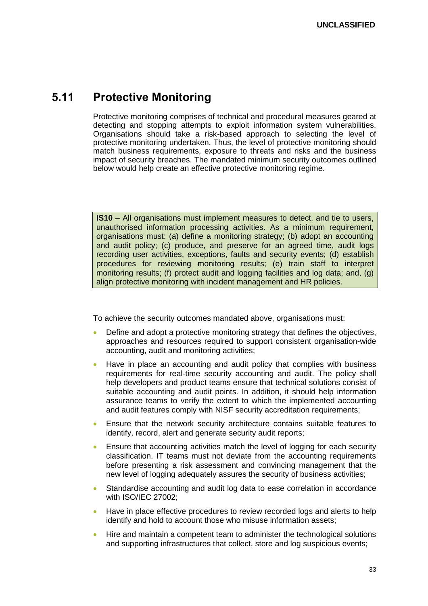### <span id="page-32-0"></span>**5.11 Protective Monitoring**

Protective monitoring comprises of technical and procedural measures geared at detecting and stopping attempts to exploit information system vulnerabilities. Organisations should take a risk-based approach to selecting the level of protective monitoring undertaken. Thus, the level of protective monitoring should match business requirements, exposure to threats and risks and the business impact of security breaches. The mandated minimum security outcomes outlined below would help create an effective protective monitoring regime.

**IS10** – All organisations must implement measures to detect, and tie to users, unauthorised information processing activities. As a minimum requirement, organisations must: (a) define a monitoring strategy; (b) adopt an accounting and audit policy; (c) produce, and preserve for an agreed time, audit logs recording user activities, exceptions, faults and security events; (d) establish procedures for reviewing monitoring results; (e) train staff to interpret monitoring results; (f) protect audit and logging facilities and log data; and, (g) align protective monitoring with incident management and HR policies.

- Define and adopt a protective monitoring strategy that defines the objectives, approaches and resources required to support consistent organisation-wide accounting, audit and monitoring activities;
- Have in place an accounting and audit policy that complies with business requirements for real-time security accounting and audit. The policy shall help developers and product teams ensure that technical solutions consist of suitable accounting and audit points. In addition, it should help information assurance teams to verify the extent to which the implemented accounting and audit features comply with NISF security accreditation requirements;
- Ensure that the network security architecture contains suitable features to identify, record, alert and generate security audit reports;
- Ensure that accounting activities match the level of logging for each security classification. IT teams must not deviate from the accounting requirements before presenting a risk assessment and convincing management that the new level of logging adequately assures the security of business activities;
- Standardise accounting and audit log data to ease correlation in accordance with ISO/IEC 27002;
- Have in place effective procedures to review recorded logs and alerts to help identify and hold to account those who misuse information assets;
- Hire and maintain a competent team to administer the technological solutions and supporting infrastructures that collect, store and log suspicious events;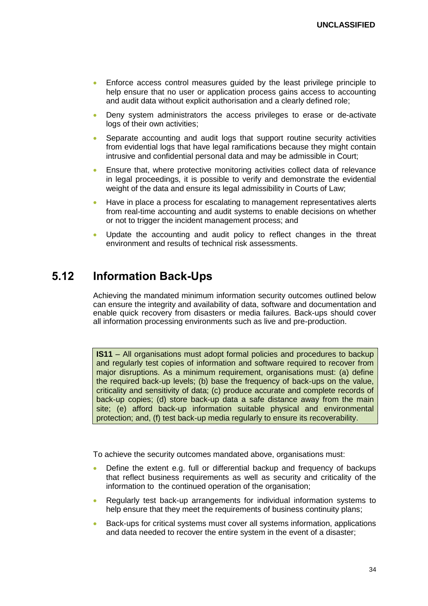- Enforce access control measures guided by the least privilege principle to help ensure that no user or application process gains access to accounting and audit data without explicit authorisation and a clearly defined role;
- Deny system administrators the access privileges to erase or de-activate logs of their own activities;
- Separate accounting and audit logs that support routine security activities from evidential logs that have legal ramifications because they might contain intrusive and confidential personal data and may be admissible in Court;
- Ensure that, where protective monitoring activities collect data of relevance in legal proceedings, it is possible to verify and demonstrate the evidential weight of the data and ensure its legal admissibility in Courts of Law;
- Have in place a process for escalating to management representatives alerts from real-time accounting and audit systems to enable decisions on whether or not to trigger the incident management process; and
- Update the accounting and audit policy to reflect changes in the threat environment and results of technical risk assessments.

### <span id="page-33-0"></span>**5.12 Information Back-Ups**

Achieving the mandated minimum information security outcomes outlined below can ensure the integrity and availability of data, software and documentation and enable quick recovery from disasters or media failures. Back-ups should cover all information processing environments such as live and pre-production.

**IS11** – All organisations must adopt formal policies and procedures to backup and regularly test copies of information and software required to recover from major disruptions. As a minimum requirement, organisations must: (a) define the required back-up levels; (b) base the frequency of back-ups on the value, criticality and sensitivity of data; (c) produce accurate and complete records of back-up copies; (d) store back-up data a safe distance away from the main site; (e) afford back-up information suitable physical and environmental protection; and, (f) test back-up media regularly to ensure its recoverability.

- Define the extent e.g. full or differential backup and frequency of backups that reflect business requirements as well as security and criticality of the information to the continued operation of the organisation;
- Regularly test back-up arrangements for individual information systems to help ensure that they meet the requirements of business continuity plans;
- Back-ups for critical systems must cover all systems information, applications and data needed to recover the entire system in the event of a disaster;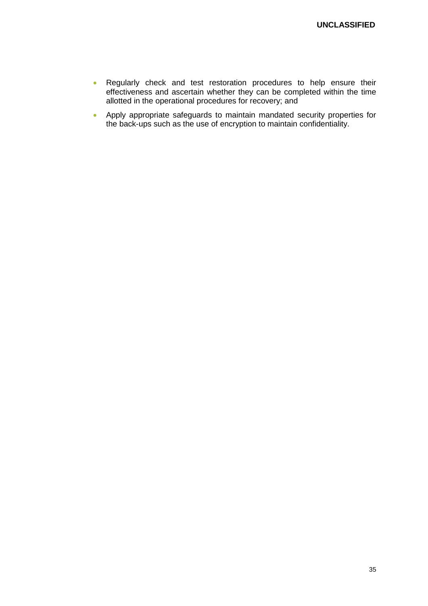- Regularly check and test restoration procedures to help ensure their effectiveness and ascertain whether they can be completed within the time allotted in the operational procedures for recovery; and
- Apply appropriate safeguards to maintain mandated security properties for the back-ups such as the use of encryption to maintain confidentiality.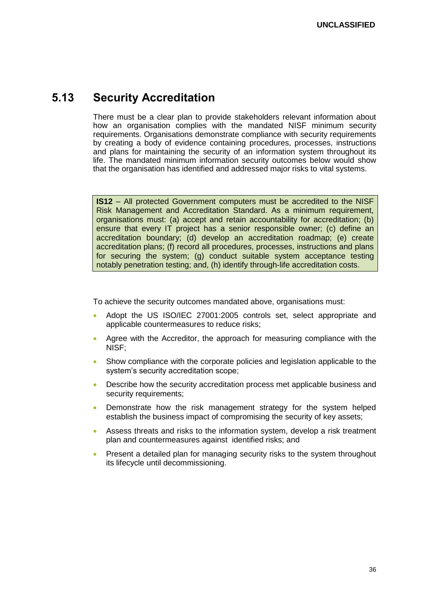### <span id="page-35-0"></span>**5.13 Security Accreditation**

There must be a clear plan to provide stakeholders relevant information about how an organisation complies with the mandated NISF minimum security requirements. Organisations demonstrate compliance with security requirements by creating a body of evidence containing procedures, processes, instructions and plans for maintaining the security of an information system throughout its life. The mandated minimum information security outcomes below would show that the organisation has identified and addressed major risks to vital systems.

**IS12** – All protected Government computers must be accredited to the NISF Risk Management and Accreditation Standard. As a minimum requirement, organisations must: (a) accept and retain accountability for accreditation; (b) ensure that every IT project has a senior responsible owner; (c) define an accreditation boundary; (d) develop an accreditation roadmap; (e) create accreditation plans; (f) record all procedures, processes, instructions and plans for securing the system; (g) conduct suitable system acceptance testing notably penetration testing; and, (h) identify through-life accreditation costs.

- Adopt the US ISO/IEC 27001:2005 controls set, select appropriate and applicable countermeasures to reduce risks;
- Agree with the Accreditor, the approach for measuring compliance with the NISF;
- Show compliance with the corporate policies and legislation applicable to the system's security accreditation scope;
- Describe how the security accreditation process met applicable business and security requirements;
- Demonstrate how the risk management strategy for the system helped establish the business impact of compromising the security of key assets;
- Assess threats and risks to the information system, develop a risk treatment plan and countermeasures against identified risks; and
- **•** Present a detailed plan for managing security risks to the system throughout its lifecycle until decommissioning.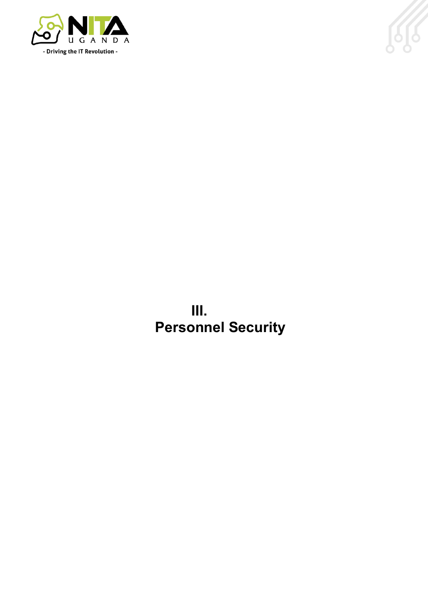



**III. Personnel Security**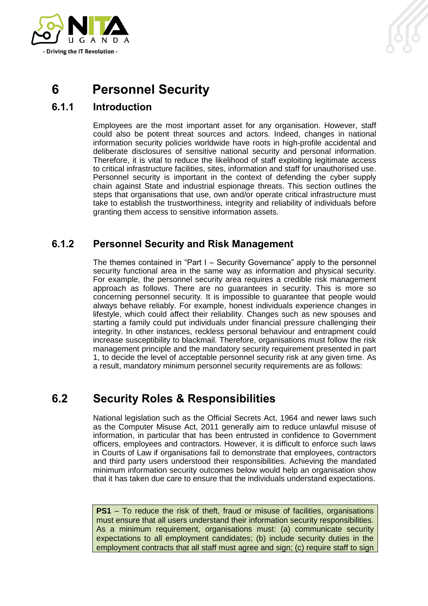

## <span id="page-37-0"></span>**6 Personnel Security**

### <span id="page-37-1"></span>**6.1.1 Introduction**

Employees are the most important asset for any organisation. However, staff could also be potent threat sources and actors. Indeed, changes in national information security policies worldwide have roots in high-profile accidental and deliberate disclosures of sensitive national security and personal information. Therefore, it is vital to reduce the likelihood of staff exploiting legitimate access to critical infrastructure facilities, sites, information and staff for unauthorised use. Personnel security is important in the context of defending the cyber supply chain against State and industrial espionage threats. This section outlines the steps that organisations that use, own and/or operate critical infrastructure must take to establish the trustworthiness, integrity and reliability of individuals before granting them access to sensitive information assets.

### <span id="page-37-2"></span>**6.1.2 Personnel Security and Risk Management**

The themes contained in "Part I – Security Governance" apply to the personnel security functional area in the same way as information and physical security. For example, the personnel security area requires a credible risk management approach as follows. There are no guarantees in security. This is more so concerning personnel security. It is impossible to guarantee that people would always behave reliably. For example, honest individuals experience changes in lifestyle, which could affect their reliability. Changes such as new spouses and starting a family could put individuals under financial pressure challenging their integrity. In other instances, reckless personal behaviour and entrapment could increase susceptibility to blackmail. Therefore, organisations must follow the risk management principle and the mandatory security requirement presented in part 1, to decide the level of acceptable personnel security risk at any given time. As a result, mandatory minimum personnel security requirements are as follows:

## <span id="page-37-3"></span>**6.2 Security Roles & Responsibilities**

National legislation such as the Official Secrets Act, 1964 and newer laws such as the Computer Misuse Act, 2011 generally aim to reduce unlawful misuse of information, in particular that has been entrusted in confidence to Government officers, employees and contractors. However, it is difficult to enforce such laws in Courts of Law if organisations fail to demonstrate that employees, contractors and third party users understood their responsibilities. Achieving the mandated minimum information security outcomes below would help an organisation show that it has taken due care to ensure that the individuals understand expectations.

**PS1** – To reduce the risk of theft, fraud or misuse of facilities, organisations must ensure that all users understand their information security responsibilities. As a minimum requirement, organisations must: (a) communicate security expectations to all employment candidates; (b) include security duties in the employment contracts that all staff must agree and sign; (c) require staff to sign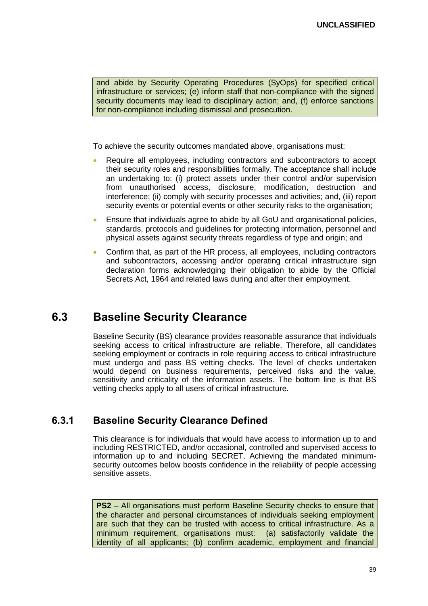and abide by Security Operating Procedures (SyOps) for specified critical infrastructure or services; (e) inform staff that non-compliance with the signed security documents may lead to disciplinary action; and, (f) enforce sanctions for non-compliance including dismissal and prosecution.

To achieve the security outcomes mandated above, organisations must:

- Require all employees, including contractors and subcontractors to accept their security roles and responsibilities formally. The acceptance shall include an undertaking to: (i) protect assets under their control and/or supervision from unauthorised access, disclosure, modification, destruction and interference; (ii) comply with security processes and activities; and, (iii) report security events or potential events or other security risks to the organisation;
- Ensure that individuals agree to abide by all GoU and organisational policies, standards, protocols and guidelines for protecting information, personnel and physical assets against security threats regardless of type and origin; and
- Confirm that, as part of the HR process, all employees, including contractors and subcontractors, accessing and/or operating critical infrastructure sign declaration forms acknowledging their obligation to abide by the Official Secrets Act, 1964 and related laws during and after their employment.

## <span id="page-38-0"></span>**6.3 Baseline Security Clearance**

Baseline Security (BS) clearance provides reasonable assurance that individuals seeking access to critical infrastructure are reliable. Therefore, all candidates seeking employment or contracts in role requiring access to critical infrastructure must undergo and pass BS vetting checks. The level of checks undertaken would depend on business requirements, perceived risks and the value, sensitivity and criticality of the information assets. The bottom line is that BS vetting checks apply to all users of critical infrastructure.

#### <span id="page-38-1"></span>**6.3.1 Baseline Security Clearance Defined**

This clearance is for individuals that would have access to information up to and including RESTRICTED, and/or occasional, controlled and supervised access to information up to and including SECRET. Achieving the mandated minimumsecurity outcomes below boosts confidence in the reliability of people accessing sensitive assets.

**PS2** – All organisations must perform Baseline Security checks to ensure that the character and personal circumstances of individuals seeking employment are such that they can be trusted with access to critical infrastructure. As a minimum requirement, organisations must: (a) satisfactorily validate the identity of all applicants; (b) confirm academic, employment and financial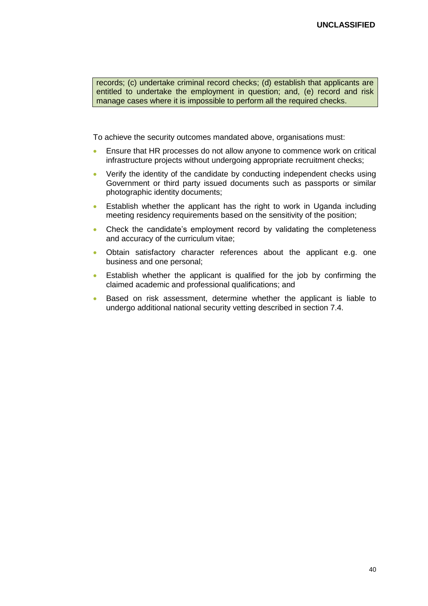records; (c) undertake criminal record checks; (d) establish that applicants are entitled to undertake the employment in question; and, (e) record and risk manage cases where it is impossible to perform all the required checks.

- Ensure that HR processes do not allow anyone to commence work on critical infrastructure projects without undergoing appropriate recruitment checks;
- Verify the identity of the candidate by conducting independent checks using Government or third party issued documents such as passports or similar photographic identity documents;
- Establish whether the applicant has the right to work in Uganda including meeting residency requirements based on the sensitivity of the position;
- Check the candidate's employment record by validating the completeness and accuracy of the curriculum vitae;
- Obtain satisfactory character references about the applicant e.g. one business and one personal;
- Establish whether the applicant is qualified for the job by confirming the claimed academic and professional qualifications; and
- Based on risk assessment, determine whether the applicant is liable to undergo additional national security vetting described in section 7.4.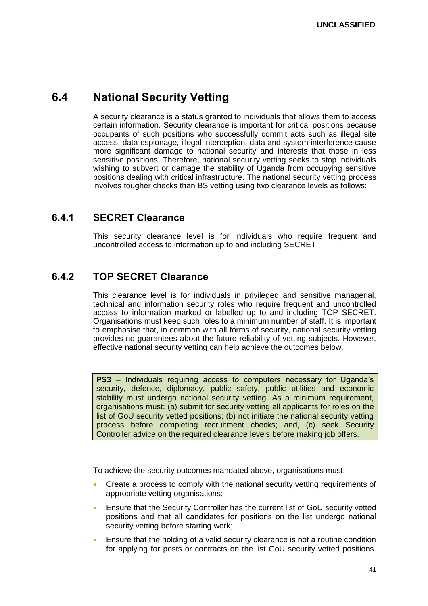## <span id="page-40-0"></span>**6.4 National Security Vetting**

A security clearance is a status granted to individuals that allows them to access certain information. Security clearance is important for critical positions because occupants of such positions who successfully commit acts such as illegal site access, data espionage, illegal interception, data and system interference cause more significant damage to national security and interests that those in less sensitive positions. Therefore, national security vetting seeks to stop individuals wishing to subvert or damage the stability of Uganda from occupying sensitive positions dealing with critical infrastructure. The national security vetting process involves tougher checks than BS vetting using two clearance levels as follows:

### <span id="page-40-1"></span>**6.4.1 SECRET Clearance**

This security clearance level is for individuals who require frequent and uncontrolled access to information up to and including SECRET.

### <span id="page-40-2"></span>**6.4.2 TOP SECRET Clearance**

This clearance level is for individuals in privileged and sensitive managerial, technical and information security roles who require frequent and uncontrolled access to information marked or labelled up to and including TOP SECRET. Organisations must keep such roles to a minimum number of staff. It is important to emphasise that, in common with all forms of security, national security vetting provides no guarantees about the future reliability of vetting subjects. However, effective national security vetting can help achieve the outcomes below.

**PS3** – Individuals requiring access to computers necessary for Uganda's security, defence, diplomacy, public safety, public utilities and economic stability must undergo national security vetting. As a minimum requirement, organisations must: (a) submit for security vetting all applicants for roles on the list of GoU security vetted positions; (b) not initiate the national security vetting process before completing recruitment checks; and, (c) seek Security Controller advice on the required clearance levels before making job offers.

- Create a process to comply with the national security vetting requirements of appropriate vetting organisations;
- Ensure that the Security Controller has the current list of GoU security vetted positions and that all candidates for positions on the list undergo national security vetting before starting work;
- Ensure that the holding of a valid security clearance is not a routine condition for applying for posts or contracts on the list GoU security vetted positions.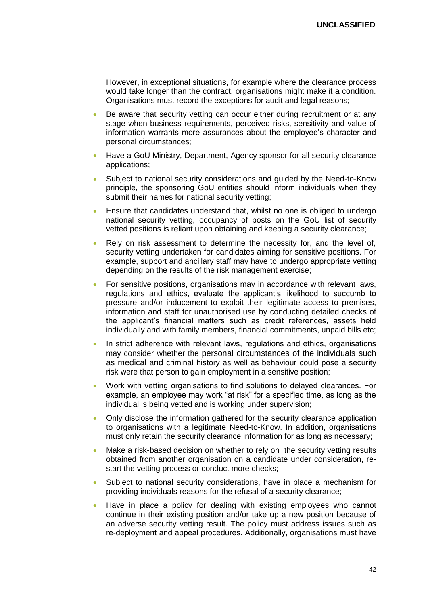However, in exceptional situations, for example where the clearance process would take longer than the contract, organisations might make it a condition. Organisations must record the exceptions for audit and legal reasons;

- Be aware that security vetting can occur either during recruitment or at any stage when business requirements, perceived risks, sensitivity and value of information warrants more assurances about the employee's character and personal circumstances;
- Have a GoU Ministry, Department, Agency sponsor for all security clearance applications;
- Subject to national security considerations and guided by the Need-to-Know principle, the sponsoring GoU entities should inform individuals when they submit their names for national security vetting;
- Ensure that candidates understand that, whilst no one is obliged to undergo national security vetting, occupancy of posts on the GoU list of security vetted positions is reliant upon obtaining and keeping a security clearance;
- Rely on risk assessment to determine the necessity for, and the level of, security vetting undertaken for candidates aiming for sensitive positions. For example, support and ancillary staff may have to undergo appropriate vetting depending on the results of the risk management exercise;
- For sensitive positions, organisations may in accordance with relevant laws, regulations and ethics, evaluate the applicant's likelihood to succumb to pressure and/or inducement to exploit their legitimate access to premises, information and staff for unauthorised use by conducting detailed checks of the applicant's financial matters such as credit references, assets held individually and with family members, financial commitments, unpaid bills etc;
- In strict adherence with relevant laws, regulations and ethics, organisations may consider whether the personal circumstances of the individuals such as medical and criminal history as well as behaviour could pose a security risk were that person to gain employment in a sensitive position;
- Work with vetting organisations to find solutions to delayed clearances. For example, an employee may work "at risk" for a specified time, as long as the individual is being vetted and is working under supervision;
- Only disclose the information gathered for the security clearance application to organisations with a legitimate Need-to-Know. In addition, organisations must only retain the security clearance information for as long as necessary;
- Make a risk-based decision on whether to rely on the security vetting results obtained from another organisation on a candidate under consideration, restart the vetting process or conduct more checks;
- Subject to national security considerations, have in place a mechanism for providing individuals reasons for the refusal of a security clearance;
- Have in place a policy for dealing with existing employees who cannot continue in their existing position and/or take up a new position because of an adverse security vetting result. The policy must address issues such as re-deployment and appeal procedures. Additionally, organisations must have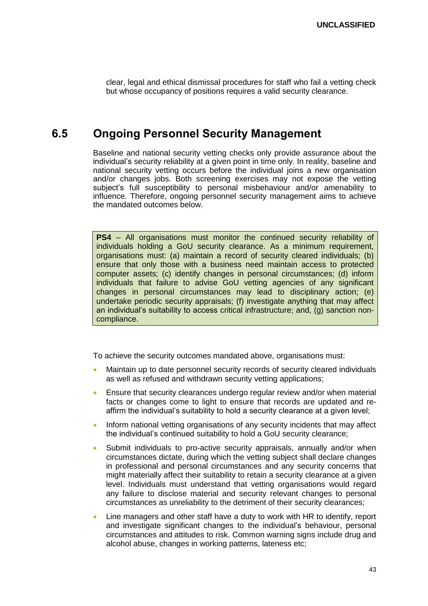clear, legal and ethical dismissal procedures for staff who fail a vetting check but whose occupancy of positions requires a valid security clearance.

### <span id="page-42-0"></span>**6.5 Ongoing Personnel Security Management**

Baseline and national security vetting checks only provide assurance about the individual's security reliability at a given point in time only. In reality, baseline and national security vetting occurs before the individual joins a new organisation and/or changes jobs. Both screening exercises may not expose the vetting subject's full susceptibility to personal misbehaviour and/or amenability to influence. Therefore, ongoing personnel security management aims to achieve the mandated outcomes below.

**PS4** – All organisations must monitor the continued security reliability of individuals holding a GoU security clearance. As a minimum requirement, organisations must: (a) maintain a record of security cleared individuals; (b) ensure that only those with a business need maintain access to protected computer assets; (c) identify changes in personal circumstances; (d) inform individuals that failure to advise GoU vetting agencies of any significant changes in personal circumstances may lead to disciplinary action; (e) undertake periodic security appraisals; (f) investigate anything that may affect an individual's suitability to access critical infrastructure; and, (g) sanction noncompliance.

- Maintain up to date personnel security records of security cleared individuals as well as refused and withdrawn security vetting applications;
- **Ensure that security clearances undergo regular review and/or when material** facts or changes come to light to ensure that records are updated and reaffirm the individual's suitability to hold a security clearance at a given level;
- Inform national vetting organisations of any security incidents that may affect the individual's continued suitability to hold a GoU security clearance;
- Submit individuals to pro-active security appraisals, annually and/or when circumstances dictate, during which the vetting subject shall declare changes in professional and personal circumstances and any security concerns that might materially affect their suitability to retain a security clearance at a given level. Individuals must understand that vetting organisations would regard any failure to disclose material and security relevant changes to personal circumstances as unreliability to the detriment of their security clearances;
- Line managers and other staff have a duty to work with HR to identify, report and investigate significant changes to the individual's behaviour, personal circumstances and attitudes to risk. Common warning signs include drug and alcohol abuse, changes in working patterns, lateness etc;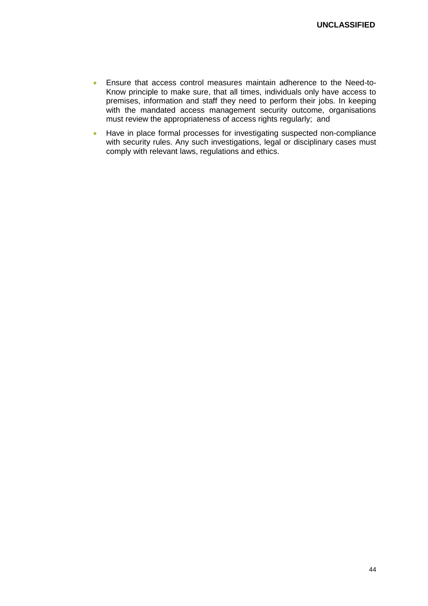- Ensure that access control measures maintain adherence to the Need-to-Know principle to make sure, that all times, individuals only have access to premises, information and staff they need to perform their jobs. In keeping with the mandated access management security outcome, organisations must review the appropriateness of access rights regularly; and
- Have in place formal processes for investigating suspected non-compliance with security rules. Any such investigations, legal or disciplinary cases must comply with relevant laws, regulations and ethics.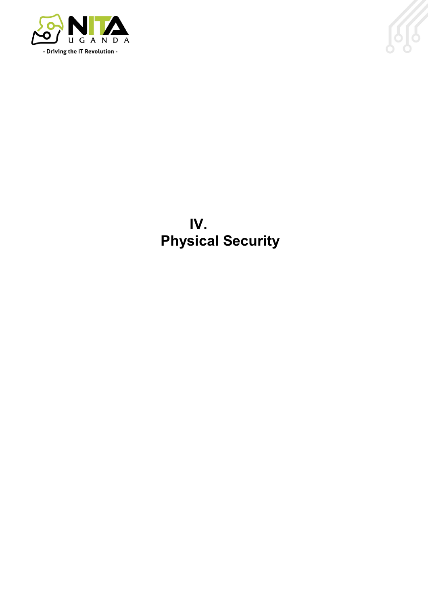



**IV. Physical Security**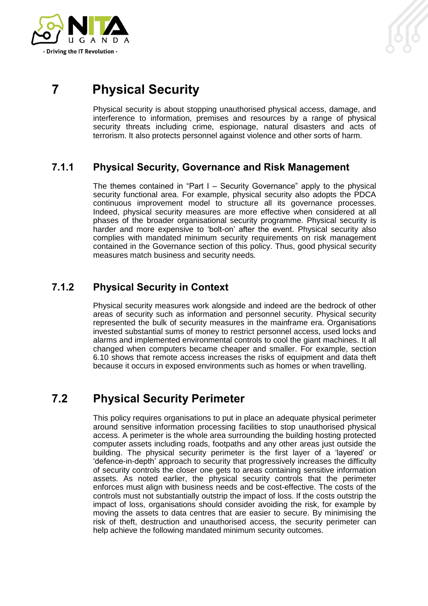

## <span id="page-45-0"></span>**7 Physical Security**

Physical security is about stopping unauthorised physical access, damage, and interference to information, premises and resources by a range of physical security threats including crime, espionage, natural disasters and acts of terrorism. It also protects personnel against violence and other sorts of harm.

### <span id="page-45-1"></span>**7.1.1 Physical Security, Governance and Risk Management**

The themes contained in "Part I – Security Governance" apply to the physical security functional area. For example, physical security also adopts the PDCA continuous improvement model to structure all its governance processes. Indeed, physical security measures are more effective when considered at all phases of the broader organisational security programme. Physical security is harder and more expensive to 'bolt-on' after the event. Physical security also complies with mandated minimum security requirements on risk management contained in the Governance section of this policy. Thus, good physical security measures match business and security needs.

### <span id="page-45-2"></span>**7.1.2 Physical Security in Context**

Physical security measures work alongside and indeed are the bedrock of other areas of security such as information and personnel security. Physical security represented the bulk of security measures in the mainframe era. Organisations invested substantial sums of money to restrict personnel access, used locks and alarms and implemented environmental controls to cool the giant machines. It all changed when computers became cheaper and smaller. For example, section 6.10 shows that remote access increases the risks of equipment and data theft because it occurs in exposed environments such as homes or when travelling.

## <span id="page-45-3"></span>**7.2 Physical Security Perimeter**

This policy requires organisations to put in place an adequate physical perimeter around sensitive information processing facilities to stop unauthorised physical access. A perimeter is the whole area surrounding the building hosting protected computer assets including roads, footpaths and any other areas just outside the building. The physical security perimeter is the first layer of a 'layered' or 'defence-in-depth' approach to security that progressively increases the difficulty of security controls the closer one gets to areas containing sensitive information assets. As noted earlier, the physical security controls that the perimeter enforces must align with business needs and be cost-effective. The costs of the controls must not substantially outstrip the impact of loss. If the costs outstrip the impact of loss, organisations should consider avoiding the risk, for example by moving the assets to data centres that are easier to secure. By minimising the risk of theft, destruction and unauthorised access, the security perimeter can help achieve the following mandated minimum security outcomes.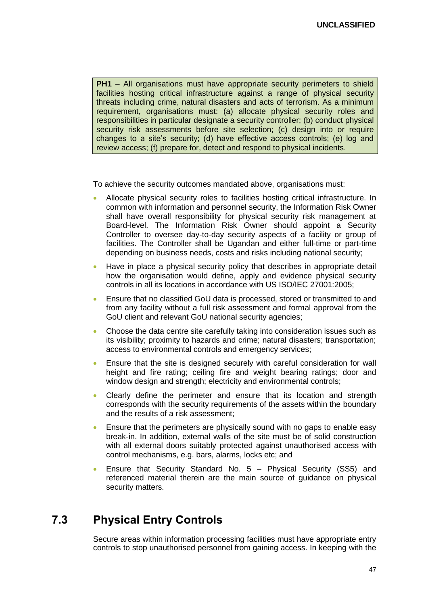**PH1** – All organisations must have appropriate security perimeters to shield facilities hosting critical infrastructure against a range of physical security threats including crime, natural disasters and acts of terrorism. As a minimum requirement, organisations must: (a) allocate physical security roles and responsibilities in particular designate a security controller; (b) conduct physical security risk assessments before site selection; (c) design into or require changes to a site's security; (d) have effective access controls; (e) log and review access; (f) prepare for, detect and respond to physical incidents.

To achieve the security outcomes mandated above, organisations must:

- Allocate physical security roles to facilities hosting critical infrastructure. In common with information and personnel security, the Information Risk Owner shall have overall responsibility for physical security risk management at Board-level. The Information Risk Owner should appoint a Security Controller to oversee day-to-day security aspects of a facility or group of facilities. The Controller shall be Ugandan and either full-time or part-time depending on business needs, costs and risks including national security;
- Have in place a physical security policy that describes in appropriate detail how the organisation would define, apply and evidence physical security controls in all its locations in accordance with US ISO/IEC 27001:2005;
- Ensure that no classified GoU data is processed, stored or transmitted to and from any facility without a full risk assessment and formal approval from the GoU client and relevant GoU national security agencies;
- Choose the data centre site carefully taking into consideration issues such as its visibility; proximity to hazards and crime; natural disasters; transportation; access to environmental controls and emergency services;
- Ensure that the site is designed securely with careful consideration for wall height and fire rating; ceiling fire and weight bearing ratings; door and window design and strength; electricity and environmental controls;
- Clearly define the perimeter and ensure that its location and strength corresponds with the security requirements of the assets within the boundary and the results of a risk assessment;
- Ensure that the perimeters are physically sound with no gaps to enable easy break-in. In addition, external walls of the site must be of solid construction with all external doors suitably protected against unauthorised access with control mechanisms, e.g. bars, alarms, locks etc; and
- Ensure that Security Standard No. 5 Physical Security (SS5) and referenced material therein are the main source of guidance on physical security matters.

## <span id="page-46-0"></span>**7.3 Physical Entry Controls**

Secure areas within information processing facilities must have appropriate entry controls to stop unauthorised personnel from gaining access. In keeping with the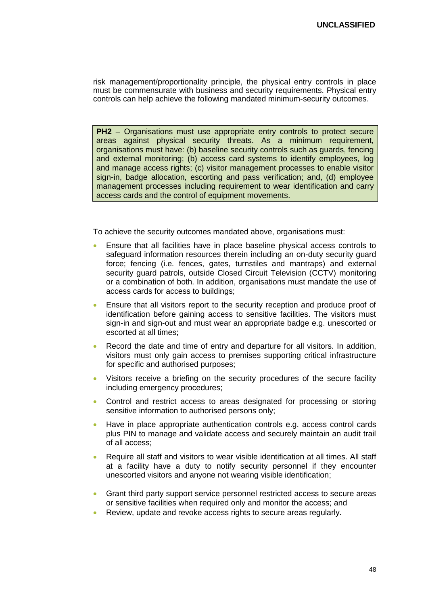risk management/proportionality principle, the physical entry controls in place must be commensurate with business and security requirements. Physical entry controls can help achieve the following mandated minimum-security outcomes.

**PH2** – Organisations must use appropriate entry controls to protect secure areas against physical security threats. As a minimum requirement, organisations must have: (b) baseline security controls such as guards, fencing and external monitoring; (b) access card systems to identify employees, log and manage access rights; (c) visitor management processes to enable visitor sign-in, badge allocation, escorting and pass verification; and, (d) employee management processes including requirement to wear identification and carry access cards and the control of equipment movements.

- Ensure that all facilities have in place baseline physical access controls to safeguard information resources therein including an on-duty security guard force; fencing (i.e. fences, gates, turnstiles and mantraps) and external security guard patrols, outside Closed Circuit Television (CCTV) monitoring or a combination of both. In addition, organisations must mandate the use of access cards for access to buildings;
- Ensure that all visitors report to the security reception and produce proof of identification before gaining access to sensitive facilities. The visitors must sign-in and sign-out and must wear an appropriate badge e.g. unescorted or escorted at all times;
- Record the date and time of entry and departure for all visitors. In addition, visitors must only gain access to premises supporting critical infrastructure for specific and authorised purposes;
- Visitors receive a briefing on the security procedures of the secure facility including emergency procedures;
- Control and restrict access to areas designated for processing or storing sensitive information to authorised persons only;
- Have in place appropriate authentication controls e.g. access control cards plus PIN to manage and validate access and securely maintain an audit trail of all access;
- Require all staff and visitors to wear visible identification at all times. All staff at a facility have a duty to notify security personnel if they encounter unescorted visitors and anyone not wearing visible identification;
- Grant third party support service personnel restricted access to secure areas or sensitive facilities when required only and monitor the access; and
- Review, update and revoke access rights to secure areas regularly.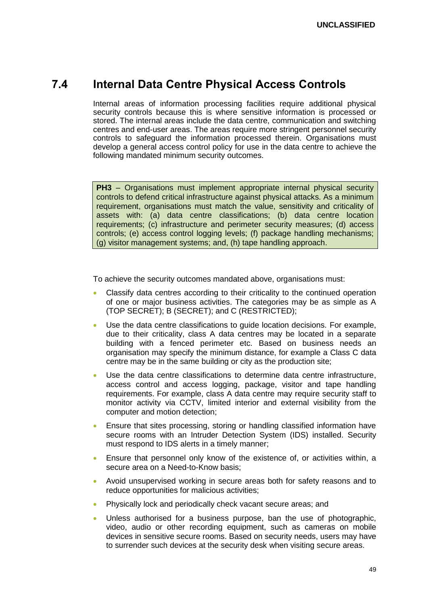### <span id="page-48-0"></span>**7.4 Internal Data Centre Physical Access Controls**

Internal areas of information processing facilities require additional physical security controls because this is where sensitive information is processed or stored. The internal areas include the data centre, communication and switching centres and end-user areas. The areas require more stringent personnel security controls to safeguard the information processed therein. Organisations must develop a general access control policy for use in the data centre to achieve the following mandated minimum security outcomes.

**PH3** – Organisations must implement appropriate internal physical security controls to defend critical infrastructure against physical attacks. As a minimum requirement, organisations must match the value, sensitivity and criticality of assets with: (a) data centre classifications; (b) data centre location requirements; (c) infrastructure and perimeter security measures; (d) access controls; (e) access control logging levels; (f) package handling mechanisms; (g) visitor management systems; and, (h) tape handling approach.

- Classify data centres according to their criticality to the continued operation of one or major business activities. The categories may be as simple as A (TOP SECRET); B (SECRET); and C (RESTRICTED);
- Use the data centre classifications to guide location decisions. For example, due to their criticality, class A data centres may be located in a separate building with a fenced perimeter etc. Based on business needs an organisation may specify the minimum distance, for example a Class C data centre may be in the same building or city as the production site;
- Use the data centre classifications to determine data centre infrastructure, access control and access logging, package, visitor and tape handling requirements. For example, class A data centre may require security staff to monitor activity via CCTV, limited interior and external visibility from the computer and motion detection;
- Ensure that sites processing, storing or handling classified information have secure rooms with an Intruder Detection System (IDS) installed. Security must respond to IDS alerts in a timely manner;
- Ensure that personnel only know of the existence of, or activities within, a secure area on a Need-to-Know basis;
- Avoid unsupervised working in secure areas both for safety reasons and to reduce opportunities for malicious activities;
- Physically lock and periodically check vacant secure areas; and
- Unless authorised for a business purpose, ban the use of photographic, video, audio or other recording equipment, such as cameras on mobile devices in sensitive secure rooms. Based on security needs, users may have to surrender such devices at the security desk when visiting secure areas.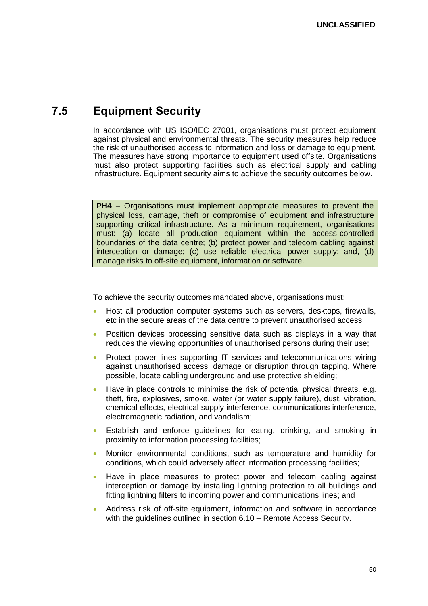## <span id="page-49-0"></span>**7.5 Equipment Security**

In accordance with US ISO/IEC 27001, organisations must protect equipment against physical and environmental threats. The security measures help reduce the risk of unauthorised access to information and loss or damage to equipment. The measures have strong importance to equipment used offsite. Organisations must also protect supporting facilities such as electrical supply and cabling infrastructure. Equipment security aims to achieve the security outcomes below.

**PH4** – Organisations must implement appropriate measures to prevent the physical loss, damage, theft or compromise of equipment and infrastructure supporting critical infrastructure. As a minimum requirement, organisations must: (a) locate all production equipment within the access-controlled boundaries of the data centre; (b) protect power and telecom cabling against interception or damage; (c) use reliable electrical power supply; and, (d) manage risks to off-site equipment, information or software.

- Host all production computer systems such as servers, desktops, firewalls, etc in the secure areas of the data centre to prevent unauthorised access;
- Position devices processing sensitive data such as displays in a way that reduces the viewing opportunities of unauthorised persons during their use;
- Protect power lines supporting IT services and telecommunications wiring against unauthorised access, damage or disruption through tapping. Where possible, locate cabling underground and use protective shielding;
- Have in place controls to minimise the risk of potential physical threats, e.g. theft, fire, explosives, smoke, water (or water supply failure), dust, vibration, chemical effects, electrical supply interference, communications interference, electromagnetic radiation, and vandalism;
- Establish and enforce guidelines for eating, drinking, and smoking in proximity to information processing facilities;
- Monitor environmental conditions, such as temperature and humidity for conditions, which could adversely affect information processing facilities;
- Have in place measures to protect power and telecom cabling against interception or damage by installing lightning protection to all buildings and fitting lightning filters to incoming power and communications lines; and
- Address risk of off-site equipment, information and software in accordance with the guidelines outlined in section 6.10 – Remote Access Security.